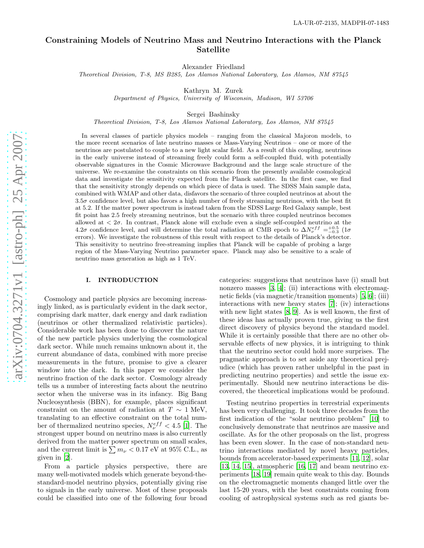# Constraining Models of Neutrino Mass and Neutrino Interactions with the Planck Satellite

Alexander Friedland

*Theoretical Division, T-8, MS B285, Los Alamos National Laboratory, Los Alamos, NM 87545*

Kathryn M. Zurek

*Department of Physics, University of Wisconsin, Madison, WI 53706*

Sergei Bashinsky

*Theoretical Division, T-8, Los Alamos National Laboratory, Los Alamos, NM 87545*

In several classes of particle physics models – ranging from the classical Majoron models, to the more recent scenarios of late neutrino masses or Mass-Varying Neutrinos – one or more of the neutrinos are postulated to couple to a new light scalar field. As a result of this coupling, neutrinos in the early universe instead of streaming freely could form a self-coupled fluid, with potentially observable signatures in the Cosmic Microwave Background and the large scale structure of the universe. We re-examine the constraints on this scenario from the presently available cosmological data and investigate the sensitivity expected from the Planck satellite. In the first case, we find that the sensitivity strongly depends on which piece of data is used. The SDSS Main sample data, combined with WMAP and other data, disfavors the scenario of three coupled neutrinos at about the 3.5σ confidence level, but also favors a high number of freely streaming neutrinos, with the best fit at 5.2. If the matter power spectrum is instead taken from the SDSS Large Red Galaxy sample, best fit point has 2.5 freely streaming neutrinos, but the scenario with three coupled neutrinos becomes allowed at  $\langle 2\sigma$ . In contrast, Planck alone will exclude even a single self-coupled neutrino at the 4.2 $\sigma$  confidence level, and will determine the total radiation at CMB epoch to  $\Delta N_{\nu}^{eff} = ^{+0.5}_{-0.3} (1 \sigma$ errors). We investigate the robustness of this result with respect to the details of Planck's detector. This sensitivity to neutrino free-streaming implies that Planck will be capable of probing a large region of the Mass-Varying Neutrino parameter space. Planck may also be sensitive to a scale of neutrino mass generation as high as 1 TeV.

## I. INTRODUCTION

Cosmology and particle physics are becoming increasingly linked, as is particularly evident in the dark sector, comprising dark matter, dark energy and dark radiation (neutrinos or other thermalized relativistic particles). Considerable work has been done to discover the nature of the new particle physics underlying the cosmological dark sector. While much remains unknown about it, the current abundance of data, combined with more precise measurements in the future, promise to give a clearer window into the dark. In this paper we consider the neutrino fraction of the dark sector. Cosmology already tells us a number of interesting facts about the neutrino sector when the universe was in its infancy. Big Bang Nucleosynthesis (BBN), for example, places significant constraint on the amount of radiation at  $T \sim 1$  MeV, translating to an effective constraint on the total number of thermalized neutrino species,  $N_{\nu}^{eff} < 4.5$  [\[1](#page-22-0)]. The strongest upper bound on neutrino mass is also currently derived from the matter power spectrum on small scales, and the current limit is  $\sum m_{\nu} < 0.17$  eV at 95% C.L., as given in [\[2](#page-22-1)].

From a particle physics perspective, there are many well-motivated models which generate beyond-thestandard-model neutrino physics, potentially giving rise to signals in the early universe. Most of these proposals could be classified into one of the following four broad categories: suggestions that neutrinos have (i) small but nonzero masses [\[3,](#page-22-2) [4](#page-22-3)]; (ii) interactions with electromagnetic fields (via magnetic/transition moments) [\[5](#page-22-4), [6\]](#page-22-5); (iii) interactions with new heavy states [\[7\]](#page-22-6); (iv) interactions with new light states [\[8](#page-22-7), [9\]](#page-22-8). As is well known, the first of these ideas has actually proven true, giving us the first direct discovery of physics beyond the standard model. While it is certainly possible that there are no other observable effects of new physics, it is intriguing to think that the neutrino sector could hold more surprises. The pragmatic approach is to set aside any theoretical prejudice (which has proven rather unhelpful in the past in predicting neutrino properties) and settle the issue experimentally. Should new neutrino interactions be discovered, the theoretical implications would be profound.

Testing neutrino properties in terrestrial experiments has been very challenging. It took three decades from the first indication of the "solar neutrino problem" [\[10\]](#page-22-9) to conclusively demonstrate that neutrinos are massive and oscillate. As for the other proposals on the list, progress has been even slower. In the case of non-standard neutrino interactions mediated by novel heavy particles, bounds from accelerator-based experiments [\[11](#page-22-10), [12\]](#page-22-11), solar  $[13, 14, 15]$  $[13, 14, 15]$  $[13, 14, 15]$  $[13, 14, 15]$ , atmospheric  $[16, 17]$  $[16, 17]$  $[16, 17]$  and beam neutrino experiments [\[18](#page-23-3), [19\]](#page-23-4) remain quite weak to this day. Bounds on the electromagnetic moments changed little over the last 15-20 years, with the best constraints coming from cooling of astrophysical systems such as red giants be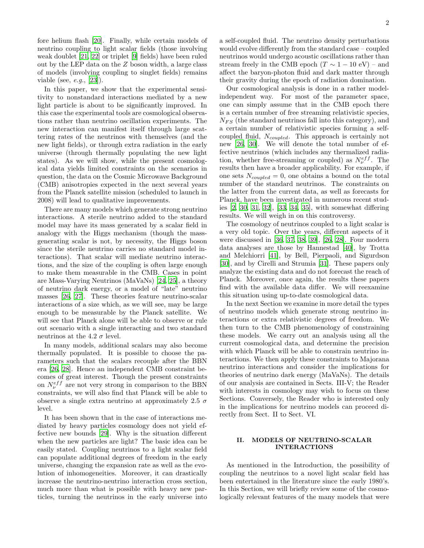fore helium flash [\[20](#page-23-5)]. Finally, while certain models of neutrino coupling to light scalar fields (those involving weak doublet [\[21,](#page-23-6) [22](#page-23-7)] or triplet [\[9](#page-22-8)] fields) have been ruled out by the LEP data on the Z boson width, a large class of models (involving coupling to singlet fields) remains viable (see,  $e.g., [23]$  $e.g., [23]$ ).

In this paper, we show that the experimental sensitivity to nonstandard interactions mediated by a new light particle is about to be significantly improved. In this case the experimental tools are cosmological observations rather than neutrino oscillation experiments. The new interaction can manifest itself through large scattering rates of the neutrinos with themselves (and the new light fields), or through extra radiation in the early universe (through thermally populating the new light states). As we will show, while the present cosmological data yields limited constraints on the scenarios in question, the data on the Cosmic Microwave Background (CMB) anisotropies expected in the next several years from the Planck satellite mission (scheduled to launch in 2008) will lead to qualitative improvements.

There are many models which generate strong neutrino interactions. A sterile neutrino added to the standard model may have its mass generated by a scalar field in analogy with the Higgs mechanism (though the massgenerating scalar is not, by necessity, the Higgs boson since the sterile neutrino carries no standard model interactions). That scalar will mediate neutrino interactions, and the size of the coupling is often large enough to make them measurable in the CMB. Cases in point are Mass-Varying Neutrinos (MaVaNs) [\[24,](#page-23-9) [25\]](#page-23-10), a theory of neutrino dark energy, or a model of "late" neutrino masses [\[26,](#page-23-11) [27](#page-23-12)]. These theories feature neutrino-scalar interactions of a size which, as we will see, may be large enough to be measurable by the Planck satellite. We will see that Planck alone will be able to observe or rule out scenario with a single interacting and two standard neutrinos at the 4.2  $\sigma$  level.

In many models, additional scalars may also become thermally populated. It is possible to choose the parameters such that the scalars recouple after the BBN era [\[26,](#page-23-11) [28\]](#page-23-13). Hence an independent CMB constraint becomes of great interest. Though the present constraints on  $N_{\nu}^{eff}$  are not very strong in comparison to the BBN constraints, we will also find that Planck will be able to observe a single extra neutrino at approximately 2.5  $\sigma$ level.

It has been shown that in the case of interactions mediated by heavy particles cosmology does not yield effective new bounds [\[29](#page-23-14)]. Why is the situation different when the new particles are light? The basic idea can be easily stated. Coupling neutrinos to a light scalar field can populate additional degrees of freedom in the early universe, changing the expansion rate as well as the evolution of inhomogeneities. Moreover, it can drastically increase the neutrino-neutrino interaction cross section, much more than what is possible with heavy new particles, turning the neutrinos in the early universe into a self-coupled fluid. The neutrino density perturbations would evolve differently from the standard case – coupled neutrinos would undergo acoustic oscillations rather than stream freely in the CMB epoch  $(T \sim 1 - 10 \text{ eV})$  – and affect the baryon-photon fluid and dark matter through their gravity during the epoch of radiation domination.

Our cosmological analysis is done in a rather modelindependent way. For most of the parameter space, one can simply assume that in the CMB epoch there is a certain number of free streaming relativistic species,  $N_{FS}$  (the standard neutrinos fall into this category), and a certain number of relativistic species forming a selfcoupled fluid,  $N_{coupled}$ . This approach is certainly not new [\[26,](#page-23-11) [30\]](#page-23-15). We will denote the total number of effective neutrinos (which includes any thermalized radiation, whether free-streaming or coupled) as  $N_{\nu}^{eff}$ . The results then have a broader applicability. For example, if one sets  $N_{coupled} = 0$ , one obtains a bound on the total number of the standard neutrinos. The constraints on the latter from the current data, as well as forecasts for Planck, have been investigated in numerous recent studies [\[2,](#page-22-1) [30,](#page-23-15) [31,](#page-23-16) [32](#page-23-17)], [\[33,](#page-23-18) [34,](#page-23-19) [35](#page-23-20)], with somewhat differing results. We will weigh in on this controversy.

The cosmology of neutrinos coupled to a light scalar is a very old topic. Over the years, different aspects of it were discussed in [\[36](#page-23-21), [37,](#page-23-22) [38,](#page-23-23) [39\]](#page-23-24), [\[26,](#page-23-11) [28](#page-23-13)]. Four modern data analyses are those by Hannestad [\[40\]](#page-23-25), by Trotta and Melchiorri [\[41\]](#page-23-26), by Bell, Pierpaoli, and Sigurdson [\[30\]](#page-23-15), and by Cirelli and Strumia [\[31\]](#page-23-16). These papers only analyze the existing data and do not forecast the reach of Planck. Moreover, once again, the results these papers find with the available data differ. We will reexamine this situation using up-to-date cosmological data.

In the next Section we examine in more detail the types of neutrino models which generate strong neutrino interactions or extra relativistic degrees of freedom. We then turn to the CMB phenomenology of constraining these models. We carry out an analysis using all the current cosmological data, and determine the precision with which Planck will be able to constrain neutrino interactions. We then apply these constraints to Majorana neutrino interactions and consider the implications for theories of neutrino dark energy (MaVaNs). The details of our analysis are contained in Sects. III-V; the Reader with interests in cosmology may wish to focus on these Sections. Conversely, the Reader who is interested only in the implications for neutrino models can proceed directly from Sect. II to Sect. VI.

### <span id="page-1-0"></span>II. MODELS OF NEUTRINO-SCALAR INTERACTIONS

As mentioned in the Introduction, the possibility of coupling the neutrinos to a novel light scalar field has been entertained in the literature since the early 1980's. In this Section, we will briefly review some of the cosmologically relevant features of the many models that were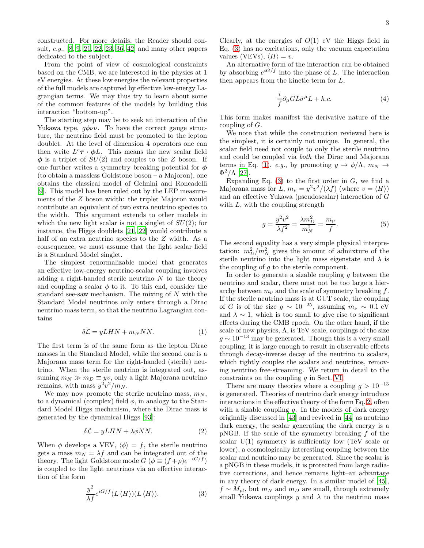constructed. For more details, the Reader should consult, e.g., [\[8,](#page-22-7) [9](#page-22-8), [21,](#page-23-6) [22,](#page-23-7) [23](#page-23-8), [36,](#page-23-21) [42\]](#page-23-27) and many other papers dedicated to the subject.

From the point of view of cosmological constraints based on the CMB, we are interested in the physics at 1 eV energies. At these low energies the relevant properties of the full models are captured by effective low-energy Lagrangian terms. We may thus try to learn about some of the common features of the models by building this interaction "bottom-up".

The starting step may be to seek an interaction of the Yukawa type,  $q\phi\nu\nu$ . To have the correct gauge structure, the neutrino field must be promoted to the lepton doublet. At the level of dimension 4 operators one can then write  $L^c \tau \cdot \phi L$ . This means the new scalar field  $\phi$  is a triplet of  $SU(2)$  and couples to the Z boson. If one further writes a symmetry breaking potential for  $\phi$ (to obtain a massless Goldstone boson – a Majoron), one obtains the classical model of Gelmini and Roncadelli [\[9\]](#page-22-8). This model has been ruled out by the LEP measurements of the Z boson width: the triplet Majoron would contribute an equivalent of two extra neutrino species to the width. This argument extends to other models in which the new light scalar is not a singlet of  $SU(2)$ ; for instance, the Higgs doublets [\[21,](#page-23-6) [22](#page-23-7)] would contribute a half of an extra neutrino species to the Z width. As a consequence, we must assume that the light scalar field is a Standard Model singlet.

The simplest renormalizable model that generates an effective low-energy neutrino-scalar coupling involves adding a right-handed sterile neutrino  $N$  to the theory and coupling a scalar  $\phi$  to it. To this end, consider the standard see-saw mechanism. The mixing of N with the Standard Model neutrinos only enters through a Dirac neutrino mass term, so that the neutrino Lagrangian contains

<span id="page-2-1"></span>
$$
\delta \mathcal{L} = yLHN + m_N NN. \tag{1}
$$

The first term is of the same form as the lepton Dirac masses in the Standard Model, while the second one is a Majorana mass term for the right-handed (sterile) neutrino. When the sterile neutrino is integrated out, assuming  $m_N \gg m_D \equiv yv$ , only a light Majorana neutrino remains, with mass  $y^2v^2/m_N$ .

We may now promote the sterile neutrino mass,  $m_N$ , to a dynamical (complex) field  $\phi$ , in analogy to the Standard Model Higgs mechanism, where the Dirac mass is generated by the dynamical Higgs [\[93\]](#page-24-0):

<span id="page-2-2"></span>
$$
\delta \mathcal{L} = yLHN + \lambda \phi NN. \tag{2}
$$

When  $\phi$  develops a VEV,  $\langle \phi \rangle = f$ , the sterile neutrino gets a mass  $m_N = \lambda f$  and can be integrated out of the theory. The light Goldstone mode  $G$  ( $\phi \equiv (f + \rho)e^{-iG/f}$ ) is coupled to the light neutrinos via an effective interaction of the form

<span id="page-2-0"></span>
$$
\frac{y^2}{\lambda f} e^{iG/f} (L \langle H \rangle) (L \langle H \rangle). \tag{3}
$$

Clearly, at the energies of  $O(1)$  eV the Higgs field in Eq. [\(3\)](#page-2-0) has no excitations, only the vacuum expectation values (VEVs),  $\langle H \rangle = v$ .

An alternative form of the interaction can be obtained by absorbing  $e^{iG/f}$  into the phase of L. The interaction then appears from the kinetic term for L,

$$
\frac{i}{f}\partial_{\mu}G\bar{L}\bar{\sigma}^{\mu}L + h.c.
$$
 (4)

This form makes manifest the derivative nature of the coupling of  $G$ .

We note that while the construction reviewed here is the simplest, it is certainly not unique. In general, the scalar field need not couple to only the sterile neutrino and could be coupled via both the Dirac and Majorana terms in Eq. [\(1\)](#page-2-1), e.g., by promoting  $y \to \phi/\Lambda$ ,  $m_N \to$  $\Phi^2/\Lambda$  [\[27\]](#page-23-12).

Expanding Eq.  $(3)$  to the first order in G, we find a Majorana mass for L,  $m_{\nu} = y^2 v^2/(\lambda f)$  (where  $v = \langle H \rangle$ ) and an effective Yukawa (pseudoscalar) interaction of G with  $L$ , with the coupling strength

$$
g = \frac{y^2 v^2}{\lambda f^2} = \frac{\lambda m_D^2}{m_N^2} = \frac{m_\nu}{f}.
$$
 (5)

The second equality has a very simple physical interpretation:  $m_D^2/m_N^2$  gives the amount of admixture of the sterile neutrino into the light mass eigenstate and  $\lambda$  is the coupling of g to the sterile component.

In order to generate a sizable coupling  $q$  between the neutrino and scalar, there must not be too large a hierarchy between  $m_{\nu}$  and the scale of symmetry breaking f. If the sterile neutrino mass is at GUT scale, the coupling of G is of the size  $g \sim 10^{-25}$ , assuming  $m_{\nu} \sim 0.1 \text{ eV}$ and  $\lambda \sim 1$ , which is too small to give rise to significant effects during the CMB epoch. On the other hand, if the scale of new physics,  $\Lambda$ , is TeV scale, couplings of the size  $g \sim 10^{-13}$  may be generated. Though this is a very small coupling, it is large enough to result in observable effects through decay-inverse decay of the neutrino to scalars, which tightly couples the scalars and neutrinos, removing neutrino free-streaming. We return in detail to the constraints on the coupling g in Sect. [VI.](#page-16-0)

There are many theories where a coupling  $g > 10^{-13}$ is generated. Theories of neutrino dark energy introduce interactions in the effective theory of the form Eq. [2,](#page-2-2) often with a sizable coupling  $g$ . In the models of dark energy originally discussed in [\[43\]](#page-23-28) and revived in [\[44\]](#page-23-29) as neutrino dark energy, the scalar generating the dark energy is a pNGB. If the scale of the symmetry breaking  $f$  of the scalar  $U(1)$  symmetry is sufficiently low (TeV scale or lower), a cosmologically interesting coupling between the scalar and neutrino may be generated. Since the scalar is a pNGB in these models, it is protected from large radiative corrections, and hence remains light–an advantage in any theory of dark energy. In a similar model of [\[45\]](#page-23-30),  $f \sim M_{nl}$ , but  $m_N$  and  $m_D$  are small, through extremely small Yukawa couplings y and  $\lambda$  to the neutrino mass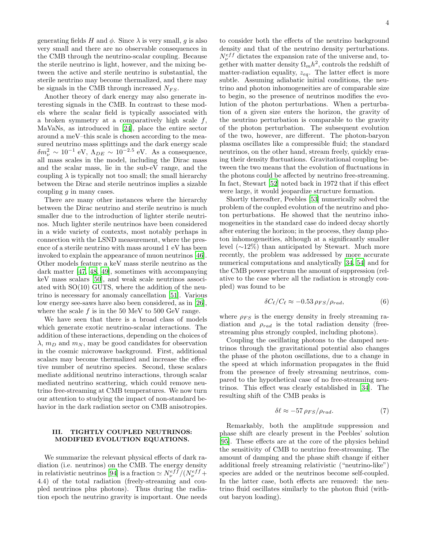generating fields H and  $\phi$ . Since  $\lambda$  is very small, g is also very small and there are no observable consequences in the CMB through the neutrino-scalar coupling. Because the sterile neutrino is light, however, and the mixing between the active and sterile neutrino is substantial, the sterile neutrino may become thermalized, and there may be signals in the CMB through increased  $N_{FS}$ .

Another theory of dark energy may also generate interesting signals in the CMB. In contrast to these models where the scalar field is typically associated with a broken symmetry at a comparatively high scale f, MaVaNs, as introduced in [\[24\]](#page-23-9), place the entire sector around a meV–this scale is chosen according to the measured neutrino mass splittings and the dark energy scale  $\delta m_{\nu}^2 \sim 10^{-1} \text{ eV}, \ \Lambda_{DE} \sim 10^{-2.5} \text{ eV}.$  As a consequence, all mass scales in the model, including the Dirac mass and the scalar mass, lie in the sub-eV range, and the coupling  $\lambda$  is typically not too small; the small hierarchy between the Dirac and sterile neutrinos implies a sizable coupling  $q$  in many cases.

There are many other instances where the hierarchy between the Dirac neutrino and sterile neutrino is much smaller due to the introduction of lighter sterile neutrinos. Much lighter sterile neutrinos have been considered in a wide variety of contexts, most notably perhaps in connection with the LSND measurement, where the presence of a sterile neutrino with mass around 1 eV has been invoked to explain the appearance of muon neutrinos [\[46\]](#page-23-31). Other models feature a keV mass sterile neutrino as the dark matter [\[47](#page-23-32), [48,](#page-23-33) [49\]](#page-23-34), sometimes with accompanying keV mass scalars [\[50\]](#page-23-35), and weak scale neutrinos associated with SO(10) GUTS, where the addition of the neutrino is necessary for anomaly cancellation [\[51](#page-23-36)]. Various low energy see-saws have also been considered, as in [\[26\]](#page-23-11), where the scale  $f$  is in the 50 MeV to 500 GeV range.

We have seen that there is a broad class of models which generate exotic neutrino-scalar interactions. The addition of these interactions, depending on the choices of  $\lambda$ ,  $m_D$  and  $m_N$ , may be good candidates for observation in the cosmic microwave background. First, additional scalars may become thermalized and increase the effective number of neutrino species. Second, these scalars mediate additional neutrino interactions, through scalar mediated neutrino scattering, which could remove neutrino free-streaming at CMB temperatures. We now turn our attention to studying the impact of non-standard behavior in the dark radiation sector on CMB anisotropies.

## <span id="page-3-2"></span>III. TIGHTLY COUPLED NEUTRINOS: MODIFIED EVOLUTION EQUATIONS.

We summarize the relevant physical effects of dark radiation (i.e. neutrinos) on the CMB. The energy density in relativistic neutrinos [\[94\]](#page-24-1) is a fraction  $\simeq N_{\nu}^{eff}/(N_{\nu}^{eff} +$ 4.4) of the total radiation (freely-streaming and coupled neutrinos plus photons). Thus during the radiation epoch the neutrino gravity is important. One needs to consider both the effects of the neutrino background density and that of the neutrino density perturbations.  $N_{\nu}^{eff}$  dictates the expansion rate of the universe and, together with matter density  $\Omega_m h^2$ , controls the redshift of matter-radiation equality,  $z_{eq}$ . The latter effect is more subtle. Assuming adiabatic initial conditions, the neutrino and photon inhomogeneities are of comparable size to begin, so the presence of neutrinos modifies the evolution of the photon perturbations. When a perturbation of a given size enters the horizon, the gravity of the neutrino perturbation is comparable to the gravity of the photon perturbation. The subsequent evolution of the two, however, are different. The photon-baryon plasma oscillates like a compressible fluid; the standard neutrinos, on the other hand, stream freely, quickly erasing their density fluctuations. Gravitational coupling between the two means that the evolution of fluctuations in the photons could be affected by neutrino free-streaming. In fact, Stewart [\[52](#page-23-37)] noted back in 1972 that if this effect were large, it would jeopardize structure formation.

Shortly thereafter, Peebles [\[53\]](#page-23-38) numerically solved the problem of the coupled evolution of the neutrino and photon perturbations. He showed that the neutrino inhomogeneities in the standard case do indeed decay shortly after entering the horizon; in the process, they damp photon inhomogeneities, although at a significantly smaller level (∼12%) than anticipated by Stewart. Much more recently, the problem was addressed by more accurate numerical computations and analytically [\[34,](#page-23-19) [54](#page-23-39)] and for the CMB power spectrum the amount of suppression (relative to the case where all the radiation is strongly coupled) was found to be

<span id="page-3-0"></span>
$$
\delta C_{\ell}/C_{\ell} \approx -0.53 \,\rho_{FS}/\rho_{rad},\tag{6}
$$

where  $\rho_{FS}$  is the energy density in freely streaming radiation and  $\rho_{rad}$  is the total radiation density (freestreaming plus strongly coupled, including photons).

Coupling the oscillating photons to the damped neutrinos through the gravitational potential also changes the phase of the photon oscillations, due to a change in the speed at which information propagates in the fluid from the presence of freely streaming neutrinos, compared to the hypothetical case of no free-streaming neutrinos. This effect was clearly established in [\[34](#page-23-19)]. The resulting shift of the CMB peaks is

<span id="page-3-1"></span>
$$
\delta \ell \approx -57 \,\rho_{FS}/\rho_{rad}.\tag{7}
$$

Remarkably, both the amplitude suppression and phase shift are clearly present in the Peebles' solution [\[95\]](#page-24-2). These effects are at the core of the physics behind the sensitivity of CMB to neutrino free-streaming. The amount of damping and the phase shift change if either additional freely streaming relativistic ("neutrino-like") species are added or the neutrinos become self-coupled. In the latter case, both effects are removed: the neutrino fluid oscillates similarly to the photon fluid (without baryon loading).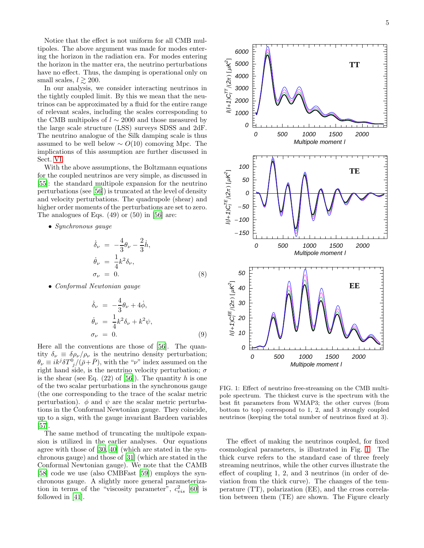Notice that the effect is not uniform for all CMB multipoles. The above argument was made for modes entering the horizon in the radiation era. For modes entering the horizon in the matter era, the neutrino perturbations have no effect. Thus, the damping is operational only on small scales,  $l \gtrsim 200$ .

In our analysis, we consider interacting neutrinos in the tightly coupled limit. By this we mean that the neutrinos can be approximated by a fluid for the entire range of relevant scales, including the scales corresponding to the CMB multipoles of  $l \sim 2000$  and those measured by the large scale structure (LSS) surveys SDSS and 2dF. The neutrino analogue of the Silk damping scale is thus assumed to be well below  $\sim O(10)$  comoving Mpc. The implications of this assumption are further discussed in Sect. [VI.](#page-16-0)

With the above assumptions, the Boltzmann equations for the coupled neutrinos are very simple, as discussed in [\[55\]](#page-23-40): the standard multipole expansion for the neutrino perturbations (see [\[56\]](#page-23-41)) is truncated at the level of density and velocity perturbations. The quadrupole (shear) and higher order moments of the perturbations are set to zero. The analogues of Eqs. (49) or (50) in [\[56](#page-23-41)] are:

• Synchronous gauge

$$
\dot{\delta}_{\nu} = -\frac{4}{3}\theta_{\nu} - \frac{2}{3}\dot{h},
$$
  
\n
$$
\dot{\theta}_{\nu} = \frac{1}{4}k^2\delta_{\nu},
$$
  
\n
$$
\sigma_{\nu} = 0.
$$
\n(8)

• Conformal Newtonian gauge

$$
\dot{\delta}_{\nu} = -\frac{4}{3}\theta_{\nu} + 4\dot{\phi},
$$
  
\n
$$
\dot{\theta}_{\nu} = \frac{1}{4}k^2\delta_{\nu} + k^2\psi,
$$
  
\n
$$
\sigma_{\nu} = 0.
$$
\n(9)

Here all the conventions are those of [\[56\]](#page-23-41). The quantity  $\delta_{\nu} \equiv \delta \rho_{\nu} / \rho_{\nu}$  is the neutrino density perturbation;  $\theta_{\nu} \equiv ik^{j} \delta T^{0}_{j}/(\bar{\rho}+\bar{P}),$  with the " $\nu$ " index assumed on the right hand side, is the neutrino velocity perturbation;  $\sigma$ is the shear (see Eq.  $(22)$  of [\[56](#page-23-41)]). The quantity h is one of the two scalar perturbations in the synchronous gauge (the one corresponding to the trace of the scalar metric perturbation).  $\phi$  and  $\psi$  are the scalar metric perturbations in the Conformal Newtonian gauge. They coincide, up to a sign, with the gauge invariant Bardeen variables [\[57\]](#page-23-42).

The same method of truncating the multipole expansion is utilized in the earlier analyses. Our equations agree with those of [\[30](#page-23-15), [40](#page-23-25)] (which are stated in the synchronous gauge) and those of [\[31](#page-23-16)] (which are stated in the Conformal Newtonian gauge). We note that the CAMB [\[58\]](#page-23-43) code we use (also CMBFast [\[59\]](#page-23-44)) employs the synchronous gauge. A slightly more general parameterization in terms of the "viscosity parameter",  $c_{vis}^2$  [\[60](#page-23-45)] is followed in [\[41\]](#page-23-26).



<span id="page-4-0"></span>FIG. 1: Effect of neutrino free-streaming on the CMB multipole spectrum. The thickest curve is the spectrum with the best fit parameters from WMAP3; the other curves (from bottom to top) correspond to 1, 2, and 3 strongly coupled neutrinos (keeping the total number of neutrinos fixed at 3).

The effect of making the neutrinos coupled, for fixed cosmological parameters, is illustrated in Fig. [1.](#page-4-0) The thick curve refers to the standard case of three freely streaming neutrinos, while the other curves illustrate the effect of coupling 1, 2, and 3 neutrinos (in order of deviation from the thick curve). The changes of the temperature (TT), polarization (EE), and the cross correlation between them (TE) are shown. The Figure clearly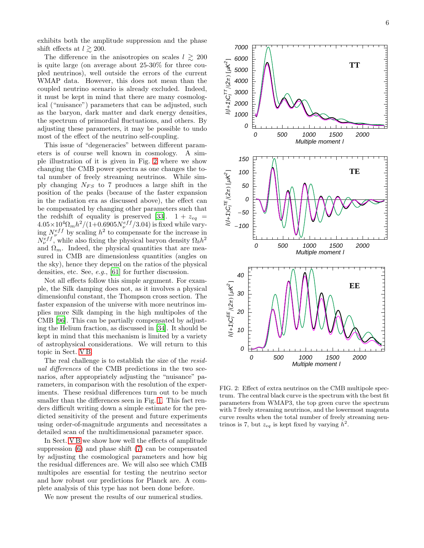exhibits both the amplitude suppression and the phase shift effects at  $l \gtrsim 200$ .

The difference in the anisotropies on scales  $l \geq 200$ is quite large (on average about 25-30% for three coupled neutrinos), well outside the errors of the current WMAP data. However, this does not mean than the coupled neutrino scenario is already excluded. Indeed, it must be kept in mind that there are many cosmological ("nuisance") parameters that can be adjusted, such as the baryon, dark matter and dark energy densities, the spectrum of primordial fluctuations, and others. By adjusting these parameters, it may be possible to undo most of the effect of the neutrino self-coupling.

This issue of "degeneracies" between different parameters is of course well known in cosmology. A simple illustration of it is given in Fig. [2](#page-5-0) where we show changing the CMB power spectra as one changes the total number of freely streaming neutrinos. While simply changing  $N_{FS}$  to 7 produces a large shift in the position of the peaks (because of the faster expansion in the radiation era as discussed above), the effect can be compensated by changing other parameters such that the redshift of equality is preserved [\[33](#page-23-18)].  $1 + z_{eq}$  =  $4.05\times10^{4}\Omega_{m}h^{2}/(1+0.6905N_{\nu}^{eff}/3.04)$  is fixed while varying  $N_{\nu}^{eff}$  by scaling  $h^2$  to compensate for the increase in  $N_{\nu}^{eff}$ , while also fixing the physical baryon density  $\Omega_b h^2$ and  $\Omega_m$ . Indeed, the physical quantities that are measured in CMB are dimensionless quantities (angles on the sky), hence they depend on the ratios of the physical densities, etc. See, e.g., [\[61\]](#page-23-46) for further discussion.

Not all effects follow this simple argument. For example, the Silk damping does not, as it involves a physical dimensionful constant, the Thompson cross section. The faster expansion of the universe with more neutrinos implies more Silk damping in the high multipoles of the CMB [\[96](#page-24-3)]. This can be partially compensated by adjusting the Helium fraction, as discussed in [\[34\]](#page-23-19). It should be kept in mind that this mechanism is limited by a variety of astrophysical considerations. We will return to this topic in Sect. [V B.](#page-15-0)

The real challenge is to establish the size of the residual differences of the CMB predictions in the two scenarios, after appropriately adjusting the "nuisance" parameters, in comparison with the resolution of the experiments. These residual differences turn out to be much smaller than the differences seen in Fig. [1.](#page-4-0) This fact renders difficult writing down a simple estimate for the predicted sensitivity of the present and future experiments using order-of-magnitude arguments and necessitates a detailed scan of the multidimensional parameter space.

In Sect. [V B](#page-15-0) we show how well the effects of amplitude suppression [\(6\)](#page-3-0) and phase shift [\(7\)](#page-3-1) can be compensated by adjusting the cosmological parameters and how big the residual differences are. We will also see which CMB multipoles are essential for testing the neutrino sector and how robust our predictions for Planck are. A complete analysis of this type has not been done before.

We now present the results of our numerical studies.



<span id="page-5-0"></span>FIG. 2: Effect of extra neutrinos on the CMB multipole spectrum. The central black curve is the spectrum with the best fit parameters from WMAP3, the top green curve the spectrum with 7 freely streaming neutrinos, and the lowermost magenta curve results when the total number of freely streaming neutrinos is 7, but  $z_{eq}$  is kept fixed by varying  $h^2$ .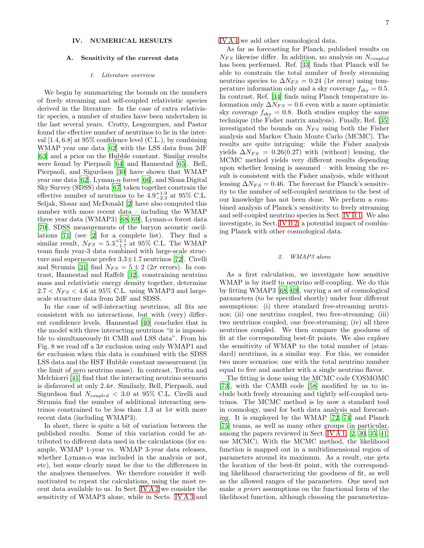### IV. NUMERICAL RESULTS

### A. Sensitivity of the current data

## <span id="page-6-1"></span>*1. Literature overview*

We begin by summarizing the bounds on the numbers of freely streaming and self-coupled relativistic species derived in the literature. In the case of extra relativistic species, a number of studies have been undertaken in the last several years. Crotty, Lesgourgues, and Pastor found the effective number of neutrinos to lie in the interval [1.4, 6.8] at 95% confidence level (C.L.), by combining WMAP year one data [\[62\]](#page-23-47) with the LSS data from 2dF [\[63\]](#page-23-48) and a prior on the Hubble constant. Similar results were found by Pierpaoli [\[64\]](#page-23-49) and Hannestad [\[65\]](#page-23-50). Bell, Pierpaoli, and Sigurdson [\[30\]](#page-23-15) have shown that WMAP year one data [\[62\]](#page-23-47), Lyman- $\alpha$  forest [\[66\]](#page-23-51), and Sloan Digital Sky Survey (SDSS) data [\[67](#page-23-52)] taken together constrain the effective number of neutrinos to be  $4.9^{+1.9}_{-2.3}$  at 95% C.L. Seljak, Slosar and McDonald [\[2\]](#page-22-1) have also computed this number with more recent data – including the WMAP three year data (WMAP3) [\[68](#page-23-53), [69\]](#page-23-54), Lyman- $\alpha$  forest data [\[70\]](#page-23-55), SDSS measurements of the baryon acoustic oscillations [\[71\]](#page-23-56) (see [\[2\]](#page-22-1) for a complete list). They find a similar result,  $N_{FS} = 5.3_{-1.7}^{+2.1}$  at 95% C.L. The WMAP team finds year-3 data combined with large-scale structure and supernovae prefer  $3.3 \pm 1.7$  neutrinos [\[72\]](#page-23-57). Cirelli and Strumia [\[31](#page-23-16)] find  $N_{FS} = 5 \pm 2$  (2 $\sigma$  errors). In contrast, Hannestad and Raffelt [\[32](#page-23-17)], constraining neutrino mass and relativistic energy density together, determine  $2.7 < N_{FS} < 4.6$  at 95% C.L. using WMAP3 and largescale structure data from 2dF and SDSS.

In the case of self-interacting neutrinos, all fits are consistent with no interactions, but with (very) different confidence levels. Hannestad [\[40](#page-23-25)] concludes that in the model with three interacting neutrinos "it is impossible to simultaneously fit CMB and LSS data". From his Fig. 8 we read off a  $3\sigma$  exclusion using only WMAP1 and  $6\sigma$  exclusion when this data is combined with the SDSS LSS data and the HST Hubble constant measurement (in the limit of zero neutrino mass). In contrast, Trotta and Melchiorri [\[41\]](#page-23-26) find that the interacting neutrino scenario is disfavored at only  $2.4\sigma$ . Similarly, Bell, Pierpaoli, and Sigurdson find  $N_{coupled} < 3.0$  at 95% C.L. Cirelli and Strumia find the number of additional interacting neutrinos constrained to be less than 1.3 at  $1\sigma$  with more recent data (including WMAP3).

In short, there is quite a bit of variation between the published results. Some of this variation could be attributed to different data used in the calculations (for example, WMAP 1-year vs. WMAP 3-year data releases, whether Lyman- $\alpha$  was included in the analysis or not, etc), but some clearly must be due to the differences in the analyses themselves. We therefore consider it wellmotivated to repeat the calculations, using the most recent data available to us. In Sect. [IV A 2](#page-6-0) we consider the sensitivity of WMAP3 alone, while in Sects. [IV A 3](#page-7-0) and [IV A 4](#page-9-0) we add other cosmological data.

As far as forecasting for Planck, published results on  $N_{FS}$  likewise differ. In addition, no analysis on  $N_{coupled}$ has been performed. Ref. [\[33](#page-23-18)] finds that Planck will be able to constrain the total number of freely streaming neutrino species to  $\Delta N_{FS} = 0.24$  (1 $\sigma$  error) using temperature information only and a sky coverage  $f_{\rm sky} = 0.5$ . In contrast, Ref. [\[34\]](#page-23-19) finds using Planck temperature information only  $\Delta N_{FS} = 0.6$  even with a more optimistic sky coverage  $f_{\rm sky} = 0.8$ . Both studies employ the same technique (the Fisher matrix analysis). Finally, Ref. [\[35](#page-23-20)] investigated the bounds on  $N_{FS}$  using both the Fisher analysis and Markov Chain Monte Carlo (MCMC). The results are quite intriguing: while the Fisher analysis yields  $\Delta N_{FS} = 0.26(0.27)$  with (without) lensing, the MCMC method yields very different results depending upon whether lensing is assumed – with lensing the result is consistent with the Fisher analysis, while without lensing  $\Delta N_{FS} = 0.46$ . The forecast for Planck's sensitivity to the number of self-coupled neutrinos to the best of our knowledge has not been done. We perform a combined analysis of Planck's sensitivity to freely streaming and self-coupled neutrino species in Sect. [IV B 1.](#page-11-0) We also investigate, in Sect. [IV B 2,](#page-11-1) a potential impact of combining Planck with other cosmological data.

### <span id="page-6-0"></span>*2. WMAP3 alone*

As a first calculation, we investigate how sensitive WMAP is by itself to neutrino self-coupling. We do this by fitting WMAP3 [\[68](#page-23-53), [69](#page-23-54)], varying a set of cosmological parameters (to be specified shortly) under four different assumptions: (i) three standard free-streaming neutrinos; (ii) one neutrino coupled, two free-streaming; (iii) two neutrinos coupled, one free-streaming; (iv) all three neutrinos coupled. We then compare the goodness of fit at the corresponding best-fit points. We also explore the sensitivity of WMAP to the total number of (standard) neutrinos, in a similar way. For this, we consider two more scenarios: one with the total neutrino number equal to five and another with a single neutrino flavor.

The fitting is done using the MCMC code COSMOMC [\[73\]](#page-23-58), with the CAMB code [\[58\]](#page-23-43) modified by us to include both freely streaming and tightly self-coupled neutrinos. The MCMC method is by now a standard tool in cosmology, used for both data analysis and forecasting. It is employed by the WMAP [\[72,](#page-23-57) [74\]](#page-23-59) and Planck [\[75\]](#page-23-60) teams, as well as many other groups (in particular, among the papers reviewed in Sect. [IV A 1,](#page-6-1) [\[2](#page-22-1), [30,](#page-23-15) [35,](#page-23-20) [41](#page-23-26)] use MCMC). With the MCMC method, the likelihood function is mapped out in a multidimensional region of parameters around its maximum. As a result, one gets the location of the best-fit point, with the corresponding likelihood characterizing the goodness of fit, as well as the allowed ranges of the parameters. One need not make a priori assumptions on the functional form of the likelihood function, although choosing the parameteriza-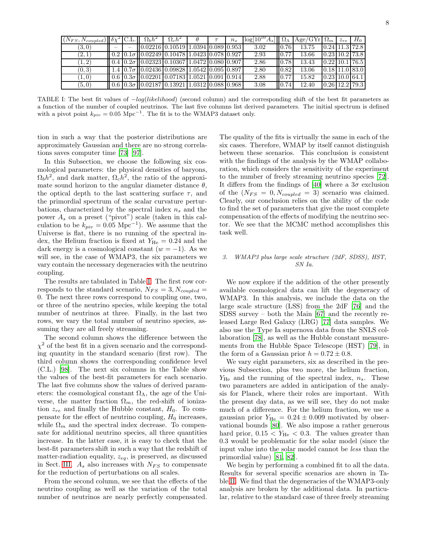| $(N_{FS}, N_{coupled})$ $\delta \chi^2$ C.L. |  | $\Omega_h h^2$                                                                                                                                      | $\Omega_c h^2$ |  | $n_{s}$ | $\log[10^{10}A_s]$ $\Omega_{\Lambda}$ $\text{Age/GYr}$ $\Omega_m$ |                     |       | $z_{re}$ | $H_0$                                          |
|----------------------------------------------|--|-----------------------------------------------------------------------------------------------------------------------------------------------------|----------------|--|---------|-------------------------------------------------------------------|---------------------|-------|----------|------------------------------------------------|
| (3,0)                                        |  | 0.02216   0.10519   1.0394   0.089   0.953                                                                                                          |                |  |         | 3.02                                                              | 0.76                | 13.75 |          | $[0.24]$ 11.3 72.8                             |
| (2,1)                                        |  | $\left  0.2 \right  0.1 \sigma \left  0.02249 \right  0.10478 \left  1.0423 \right  0.078 \left  0.927 \right $                                     |                |  |         | 2.93                                                              | 0.77                | 13.66 |          | $0.23 \mid 10.2 \mid 73.8 \mid$                |
| (1, 2)                                       |  | $\vert$ 0.4 $\vert$ 0.2 $\sigma$ $\vert$ 0.02323 $\vert$ 0.10367 $\vert$ 1.0472 $\vert$ 0.080 $\vert$ 0.907 $\vert$                                 |                |  |         | 2.86                                                              | 0.78                | 13.43 |          | $0.22 \mid 10.1 \mid 76.5$                     |
| (0, 3)                                       |  | $1.4 \mid 0.7\sigma \mid 0.02436 \mid 0.09828 \mid 1.0542 \mid 0.095 \mid 0.897 \mid$                                                               |                |  |         | 2.80                                                              | $\Box$ 0.82         | 13.06 |          | 0.18 11.0 83.0                                 |
| (1,0)                                        |  | $\ 0.6\ 0.3\sigma\ 0.02201\ 0.07183\ 1.0521\ 0.091\ 0.914\ $                                                                                        |                |  |         | 2.88                                                              | 0.77                | 15.82 |          | $\left  0.23 \right  10.0 \left  64.1 \right $ |
| (5,0)                                        |  | $\parallel$ 0.6 $\parallel$ 0.3 $\sigma$ $\parallel$ 0.02187 $\parallel$ 0.13921 $\parallel$ 1.0312 $\parallel$ 0.088 $\parallel$ 0.968 $\parallel$ |                |  |         | 3.08                                                              | $\blacksquare$ 0.74 | 12.40 |          | $0.26$   12.2   79.3                           |

<span id="page-7-1"></span>TABLE I: The best fit values of  $-log(likelihood)$  (second column) and the corresponding shift of the best fit parameters as a function of the number of coupled neutrinos. The last five columns list derived parameters. The initial spectrum is defined with a pivot point  $k_{piv} = 0.05 \text{ Mpc}^{-1}$ . The fit is to the WMAP3 dataset only.

tion in such a way that the posterior distributions are approximately Gaussian and there are no strong correlations saves computer time [\[73\]](#page-23-58) [\[97](#page-24-4)].

In this Subsection, we choose the following six cosmological parameters: the physical densities of baryons,  $\Omega_b h^2$ , and dark matter,  $\Omega_c h^2$ , the ratio of the approximate sound horizon to the angular diameter distance  $\theta$ , the optical depth to the last scattering surface  $\tau$ , and the primordial spectrum of the scalar curvature perturbations, characterized by the spectral index  $n_s$  and the power  $A_s$  on a preset ("pivot") scale (taken in this calculation to be  $k_{piv} = 0.05 \text{ Mpc}^{-1}$ . We assume that the Universe is flat, there is no running of the spectral index, the Helium fraction is fixed at  $Y_{\text{He}} = 0.24$  and the dark energy is a cosmological constant  $(w = -1)$ . As we will see, in the case of WMAP3, the six parameters we vary contain the necessary degeneracies with the neutrino coupling.

The results are tabulated in Table [I.](#page-7-1) The first row corresponds to the standard scenario,  $N_{FS} = 3, N_{coupled} =$ 0. The next three rows correspond to coupling one, two, or three of the neutrino species, while keeping the total number of neutrinos at three. Finally, in the last two rows, we vary the total number of neutrino species, assuming they are all freely streaming.

The second column shows the difference between the  $\chi^2$  of the best fit in a given scenario and the corresponding quantity in the standard scenario (first row). The third column shows the corresponding confidence level (C.L.) [\[98\]](#page-24-5). The next six columns in the Table show the values of the best-fit parameters for each scenario. The last five columns show the values of derived parameters: the cosmological constant  $\Omega_{\Lambda}$ , the age of the Universe, the matter fraction  $\Omega_m$ , the red-shift of ionization  $z_{re}$  and finally the Hubble constant,  $H_0$ . To compensate for the effect of neutrino coupling,  $H_0$  increases, while  $\Omega_m$  and the spectral index decrease. To compensate for additional neutrino species, all three quantities increase. In the latter case, it is easy to check that the best-fit parameters shift in such a way that the redshift of matter-radiation equality,  $z_{eq}$ , is preserved, as discussed in Sect. [III.](#page-3-2)  $A_s$  also increases with  $N_{FS}$  to compensate for the reduction of perturbations on all scales.

From the second column, we see that the effects of the neutrino coupling as well as the variation of the total number of neutrinos are nearly perfectly compensated.

The quality of the fits is virtually the same in each of the six cases. Therefore, WMAP by itself cannot distinguish between these scenarios. This conclusion is consistent with the findings of the analysis by the WMAP collaboration, which considers the sensitivity of the experiment to the number of freely streaming neutrino species [\[72\]](#page-23-57). It differs from the findings of [\[40\]](#page-23-25) where a  $3\sigma$  exclusion of the  $(N_{FS} = 0, N_{coupled} = 3)$  scenario was claimed. Clearly, our conclusion relies on the ability of the code to find the set of parameters that give the most complete compensation of the effects of modifying the neutrino sector. We see that the MCMC method accomplishes this task well.

## <span id="page-7-0"></span>*3. WMAP3 plus large scale structure (2dF, SDSS), HST, SN Ia.*

We now explore if the addition of the other presently available cosmological data can lift the degeneracy of WMAP3. In this analysis, we include the data on the large scale structure (LSS) from the 2dF [\[76\]](#page-23-61) and the SDSS survey – both the Main [\[67\]](#page-23-52) and the recently released Large Red Galaxy (LRG) [\[77](#page-23-62)] data samples. We also use the Type Ia supernova data from the SNLS collaboration [\[78\]](#page-23-63), as well as the Hubble constant measurements from the Hubble Space Telescope (HST) [\[79\]](#page-23-64), in the form of a Gaussian prior  $h = 0.72 \pm 0.8$ .

We vary eight parameters, six as described in the previous Subsection, plus two more, the helium fraction,  $Y_{\text{He}}$  and the running of the spectral index,  $n_s$ . These two parameters are added in anticipation of the analysis for Planck, where their roles are important. With the present day data, as we will see, they do not make much of a difference. For the helium fraction, we use a gaussian prior  $Y_{\text{He}} = 0.24 \pm 0.009$  motivated by observational bounds [\[80\]](#page-23-65). We also impose a rather generous hard prior,  $0.15 < Y_{\text{He}} < 0.3$ . The values greater than 0.3 would be problematic for the solar model (since the input value into the solar model cannot be less than the primordial value) [\[81](#page-23-66), [82](#page-24-6)].

We begin by performing a combined fit to all the data. Results for several specific scenarios are shown in Table [II.](#page-8-0) We find that the degeneracies of the WMAP3-only analysis are broken by the additional data. In particular, relative to the standard case of three freely streaming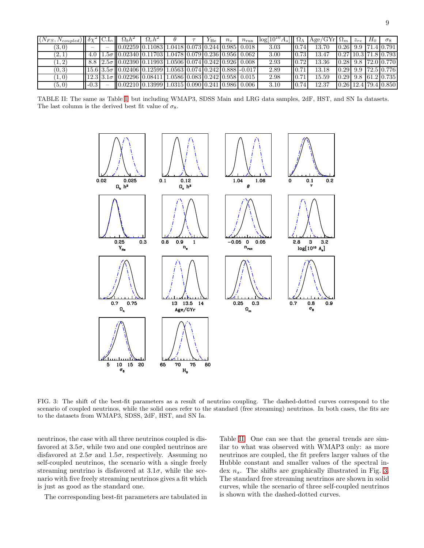| $\left \left(N_{FS},N_{coupled}\right)\right \left \delta\chi^{2}\right $ |        | $\Omega_h h^2$                                                                                                                                                                                                                 | $\Omega_c h^2$ |  | $Y_{\rm He}$ | $n_{s}$ | $n_{\rm run}$ | $\log[10^{10}A_s]$ $\Omega_{\Lambda}$ |       | Age/GYr $\Omega_m$ | $z_{re}$ | $H_0$ | $\sigma_8$                                              |
|---------------------------------------------------------------------------|--------|--------------------------------------------------------------------------------------------------------------------------------------------------------------------------------------------------------------------------------|----------------|--|--------------|---------|---------------|---------------------------------------|-------|--------------------|----------|-------|---------------------------------------------------------|
| (3,0)                                                                     |        | 0.02259   0.11083   1.0418   0.073   0.244   0.985   0.018                                                                                                                                                                     |                |  |              |         |               | 3.03                                  |       | 13.70              |          |       | 0.26 9.9 71.4 0.791                                     |
| $^{\prime}2,1$                                                            |        | $\frac{1.5\sigma}{1.5\sigma}$ 0.02340 0.11703 1.0478 0.079 0.236 0.956 0.062                                                                                                                                                   |                |  |              |         |               | 3.00                                  | 0.73  | 13.47              |          |       | $[0.27]10.3$ 71.8 0.793                                 |
| $1, 2^{\circ}$                                                            |        | $8.8$   $2.5\sigma$   0.02390   0.11993   1.0506   0.074   0.242   0.926   0.008                                                                                                                                               |                |  |              |         |               | 2.93                                  | 0.72  | 13.36              |          |       | $0.28$   9.8   72.0   0.770                             |
| (0, 3)                                                                    |        | $\left[15.6\right]3.5\sigma\left[0.02406\right]0.12599\left[1.0563\right]0.074\left[0.242\right]0.888\left[-0.017\right]$                                                                                                      |                |  |              |         |               | 2.89                                  | 10.71 | 13.18              |          |       | $\lfloor 0.29 \rfloor$ 9.9 $\lfloor 72.5 \rfloor$ 0.776 |
| 1,0                                                                       |        | $12.3$ 3.1 $\sigma$ 0.02296 0.08411 1.0586 0.083 0.242 0.958 0.015                                                                                                                                                             |                |  |              |         |               | 2.98                                  | 10.71 | 15.59              |          |       | $\lfloor 0.29 \rfloor$ 9.8 $\lfloor 61.2 \rfloor$ 0.735 |
| (5,0)                                                                     | $-0.3$ | $(0.02210(0.13999(1.0315(0.090(0.241(0.986(0.006(0.000(0.000(0.000(0.000(0.000(0.000(0.000(0.000(0.000(0.000(0.000(0.000(0.000(0.000(0.000(0.000(0.000(0.000(0.000(0.000(0.000(0.000(0.000(0.000(0.000(0.000(0.000(0.000(0.00$ |                |  |              |         |               | 3.10                                  | 0.74  | 12.37              |          |       | $\left  0.26 \right  12.4 \left  79.4 \right  0.850$    |

TABLE II: The same as Table [I,](#page-7-1) but including WMAP3, SDSS Main and LRG data samples, 2dF, HST, and SN Ia datasets. The last column is the derived best fit value of  $\sigma_8$ .

<span id="page-8-0"></span>

<span id="page-8-1"></span>FIG. 3: The shift of the best-fit parameters as a result of neutrino coupling. The dashed-dotted curves correspond to the scenario of coupled neutrinos, while the solid ones refer to the standard (free streaming) neutrinos. In both cases, the fits are to the datasets from WMAP3, SDSS, 2dF, HST, and SN Ia.

neutrinos, the case with all three neutrinos coupled is disfavored at  $3.5\sigma$ , while two and one coupled neutrinos are disfavored at  $2.5\sigma$  and  $1.5\sigma$ , respectively. Assuming no self-coupled neutrinos, the scenario with a single freely streaming neutrino is disfavored at  $3.1\sigma$ , while the scenario with five freely streaming neutrinos gives a fit which is just as good as the standard one.

The corresponding best-fit parameters are tabulated in

Table [II.](#page-8-0) One can see that the general trends are similar to what was observed with WMAP3 only: as more neutrinos are coupled, the fit prefers larger values of the Hubble constant and smaller values of the spectral index  $n_s$ . The shifts are graphically illustrated in Fig. [3.](#page-8-1) The standard free streaming neutrinos are shown in solid curves, while the scenario of three self-coupled neutrinos is shown with the dashed-dotted curves.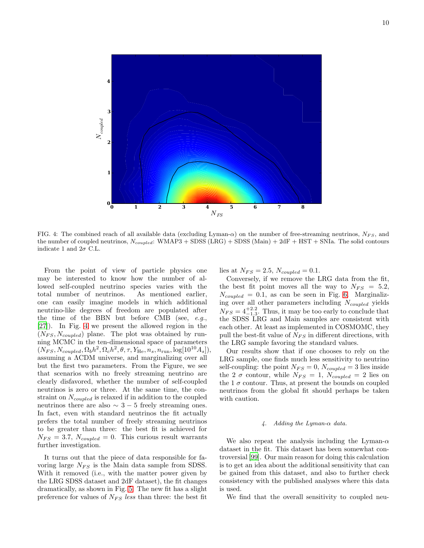

<span id="page-9-1"></span>FIG. 4: The combined reach of all available data (excluding Lyman- $\alpha$ ) on the number of free-streaming neutrinos,  $N_{FS}$ , and the number of coupled neutrinos,  $N_{coupled}$ : WMAP3 + SDSS (LRG) + SDSS (Main) + 2dF + HST + SNIa. The solid contours indicate 1 and  $2\sigma$  C.L.

From the point of view of particle physics one may be interested to know how the number of allowed self-coupled neutrino species varies with the total number of neutrinos. As mentioned earlier, one can easily imagine models in which additional neutrino-like degrees of freedom are populated after the time of the BBN but before CMB (see, e.g., [\[27\]](#page-23-12)). In Fig. [4](#page-9-1) we present the allowed region in the  $(N_{FS}, N_{coupled})$  plane. The plot was obtained by running MCMC in the ten-dimensional space of parameters  $(N_{FS}, N_{coupled}, \Omega_b h^2, \Omega_c h^2, \theta, \tau, Y_{\text{He}}, n_s, n_{\text{run}}, \log[10^{10}A_s]),$ assuming a ΛCDM universe, and marginalizing over all but the first two parameters. From the Figure, we see that scenarios with no freely streaming neutrino are clearly disfavored, whether the number of self-coupled neutrinos is zero or three. At the same time, the constraint on  $N_{coupled}$  is relaxed if in addition to the coupled neutrinos there are also  $\sim 3 - 5$  freely streaming ones. In fact, even with standard neutrinos the fit actually prefers the total number of freely streaming neutrinos to be greater than three: the best fit is achieved for  $N_{FS} = 3.7$ ,  $N_{coupled} = 0$ . This curious result warrants further investigation.

It turns out that the piece of data responsible for favoring large  $N_{FS}$  is the Main data sample from SDSS. With it removed (i.e., with the matter power given by the LRG SDSS dataset and 2dF dataset), the fit changes dramatically, as shown in Fig. [5.](#page-10-0) The new fit has a slight preference for values of  $N_{FS}$  less than three: the best fit

lies at  $N_{FS} = 2.5$ ,  $N_{coupled} = 0.1$ .

Conversely, if we remove the LRG data from the fit, the best fit point moves all the way to  $N_{FS} = 5.2$ ,  $N_{coupled} = 0.1$ , as can be seen in Fig. [6.](#page-10-1) Marginalizing over all other parameters including  $N_{coupled}$  yields  $N_{FS} = 4^{+2.2}_{-1.3}$ . Thus, it may be too early to conclude that the SDSS LRG and Main samples are consistent with each other. At least as implemented in COSMOMC, they pull the best-fit value of  $N_{FS}$  in different directions, with the LRG sample favoring the standard values.

Our results show that if one chooses to rely on the LRG sample, one finds much less sensitivity to neutrino self-coupling: the point  $N_{FS} = 0$ ,  $N_{coupled} = 3$  lies inside the 2  $\sigma$  contour, while  $N_{FS} = 1$ ,  $N_{coupled} = 2$  lies on the 1  $\sigma$  contour. Thus, at present the bounds on coupled neutrinos from the global fit should perhaps be taken with caution.

### <span id="page-9-0"></span>*4. Adding the Lyman-*α *data.*

We also repeat the analysis including the Lyman- $\alpha$ dataset in the fit. This dataset has been somewhat controversial [\[99](#page-24-7)]. Our main reason for doing this calculation is to get an idea about the additional sensitivity that can be gained from this dataset, and also to further check consistency with the published analyses where this data is used.

We find that the overall sensitivity to coupled neu-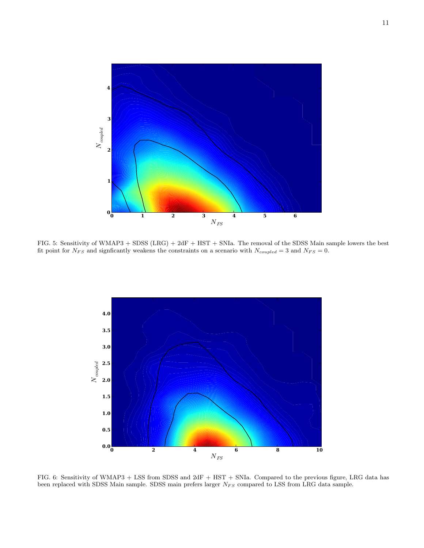

<span id="page-10-0"></span>FIG. 5: Sensitivity of WMAP3 + SDSS (LRG) + 2dF + HST + SNIa. The removal of the SDSS Main sample lowers the best fit point for  $N_{FS}$  and signficantly weakens the constraints on a scenario with  $N_{coupled} = 3$  and  $N_{FS} = 0$ .



<span id="page-10-1"></span>FIG. 6: Sensitivity of WMAP3 + LSS from SDSS and 2dF + HST + SNIa. Compared to the previous figure, LRG data has been replaced with SDSS Main sample. SDSS main prefers larger  $N_{FS}$  compared to LSS from LRG data sample.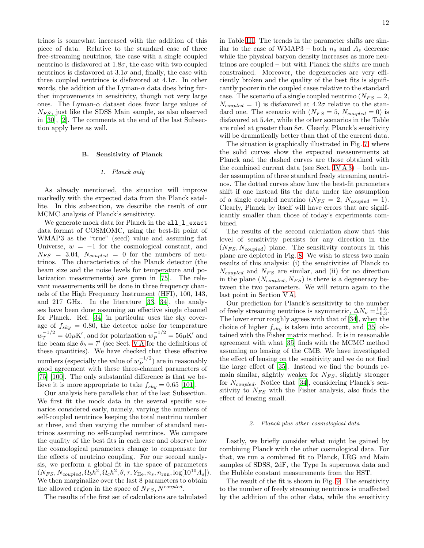trinos is somewhat increased with the addition of this piece of data. Relative to the standard case of three free-streaming neutrinos, the case with a single coupled neutrino is disfavored at  $1.8\sigma$ , the case with two coupled neutrinos is disfavored at  $3.1\sigma$  and, finally, the case with three coupled neutrinos is disfavored at  $4.1\sigma$ . In other words, the addition of the Lyman- $\alpha$  data does bring further improvements in sensitivity, though not very large ones. The Lyman- $\alpha$  dataset does favor large values of  $N_{FS}$ , just like the SDSS Main sample, as also observed in [\[30](#page-23-15)], [\[2\]](#page-22-1). The comments at the end of the last Subsection apply here as well.

### B. Sensitivity of Planck

### <span id="page-11-0"></span>*1. Planck only*

As already mentioned, the situation will improve markedly with the expected data from the Planck satellite. In this subsection, we describe the result of our MCMC analysis of Planck's sensitivity.

We generate mock data for Planck in the all\_l\_exact data format of COSMOMC, using the best-fit point of WMAP3 as the "true" (seed) value and assuming flat Universe,  $w = -1$  for the cosmological constant, and  $N_{FS}$  = 3.04,  $N_{coupled}$  = 0 for the numbers of neutrinos. The characteristics of the Planck detector (the beam size and the noise levels for temperature and polarization measurements) are given in [\[75\]](#page-23-60). The relevant measurements will be done in three frequency channels of the High Frequency Instrument (HFI), 100, 143, and 217 GHz. In the literature [\[33](#page-23-18), [34](#page-23-19)], the analyses have been done assuming an effective single channel for Planck. Ref. [\[34\]](#page-23-19) in particular uses the sky coverage of  $f_{sky} = 0.80$ , the detector noise for temperature  $w_T^{-1/2} = 40 \mu K'$ , and for polarization  $w_P^{-1/2} = 56 \mu K'$  and the beam size  $\theta_b = 7'$  (see Sect. [V A](#page-14-0) for the definitions of these quantities). We have checked that these effective numbers (especially the value of  $w_P^{-1/2}$  $\binom{-1}{P}$  are in reasonably good agreement with these three-channel parameters of [\[75\]](#page-23-60) [\[100\]](#page-24-8). The only substantial difference is that we believe it is more appropriate to take  $f_{sky} = 0.65$  [\[101\]](#page-24-9).

Our analysis here parallels that of the last Subsection. We first fit the mock data in the several specific scenarios considered early, namely, varying the numbers of self-coupled neutrinos keeping the total neutrino number at three, and then varying the number of standard neutrinos assuming no self-coupled neutrinos. We compare the quality of the best fits in each case and observe how the cosmological parameters change to compensate for the effects of neutrino coupling. For our second analysis, we perform a global fit in the space of parameters  $(N_{FS}, N_{coupled}, \Omega_b h^2, \Omega_c h^2, \theta, \tau, Y_{\text{He}}, n_s, n_{\text{run}}, \log[10^{10}A_s]).$ We then marginalize over the last 8 parameters to obtain the allowed region in the space of  $N_{FS}$ ,  $N^{coupled}$ .

The results of the first set of calculations are tabulated

in Table [III.](#page-12-0) The trends in the parameter shifts are similar to the case of WMAP3 – both  $n_s$  and  $A_s$  decrease while the physical baryon density increases as more neutrinos are coupled – but with Planck the shifts are much constrained. Moreover, the degeneracies are very efficiently broken and the quality of the best fits is significantly poorer in the coupled cases relative to the standard case. The scenario of a single coupled neutrino  $(N_{FS} = 2,$  $N_{coupled} = 1$ ) is disfavored at  $4.2\sigma$  relative to the standard one. The scenario with  $(N_{FS} = 5, N_{coupled} = 0)$  is disfavored at  $5.4\sigma$ , while the other scenarios in the Table are ruled at greater than  $8\sigma$ . Clearly, Planck's sensitivity will be dramatically better than that of the current data.

The situation is graphically illustrated in Fig. [7,](#page-12-1) where the solid curves show the expected measurements at Planck and the dashed curves are those obtained with the combined current data (see Sect. IV  $A$  3) – both under assumption of three standard freely streaming neutrinos. The dotted curves show how the best-fit parameters shift if one instead fits the data under the assumption of a single coupled neutrino  $(N_{FS} = 2, N_{coupled} = 1)$ . Clearly, Planck by itself will have errors that are significantly smaller than those of today's experiments combined.

The results of the second calculation show that this level of sensitivity persists for any direction in the  $(N_{FS}, N_{coupled})$  plane. The sensitivity contours in this plane are depicted in Fig. [8.](#page-13-0) We wish to stress two main results of this analysis: (i) the sensitivities of Planck to  $N_{coupled}$  and  $N_{FS}$  are similar, and (ii) for no direction in the plane  $(N_{coupled}, N_{FS})$  is there is a degeneracy between the two parameters. We will return again to the last point in Section [V A.](#page-14-0)

Our prediction for Planck's sensitivity to the number of freely streaming neutrinos is asymmetric,  $\Delta N_{\nu} = ^{+0.5}_{-0.3}$ . The lower error roughly agrees with that of [\[34](#page-23-19)], when the choice of higher  $f_{sky}$  is taken into account, and [\[35\]](#page-23-20) obtained with the Fisher matrix method. It is in reasonable agreement with what [\[35\]](#page-23-20) finds with the MCMC method assuming no lensing of the CMB. We have investigated the effect of lensing on the sensitivity and we do not find the large effect of [\[35](#page-23-20)]. Instead we find the bounds remain similar, slightly weaker for  $N_{FS}$ , slightly stronger for  $N_{coupled}$ . Notice that [\[34](#page-23-19)], considering Planck's sensitivity to  $N_{FS}$  with the Fisher analysis, also finds the effect of lensing small.

#### <span id="page-11-1"></span>*2. Planck plus other cosmological data*

Lastly, we briefly consider what might be gained by combining Planck with the other cosmological data. For that, we run a combined fit to Planck, LRG and Main samples of SDSS, 2dF, the Type Ia supernova data and the Hubble constant measurements from the HST.

The result of the fit is shown in Fig. [9.](#page-13-1) The sensitivity to the number of freely streaming neutrinos is unaffected by the addition of the other data, while the sensitivity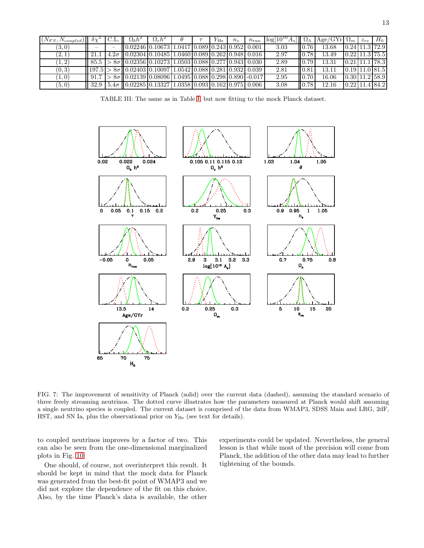| $(N_{FS},N_{coupled})$ | $\partial \gamma^2$ | $\Omega_h h^2$                                                                    |  | $Y_{\rm He}$ | $n_{s}$ | $n_{\rm run}$ | $\log[10^{10}A_s]$ | $\Omega_{\Lambda}$ | Age/GYr $\Omega_m$ | $z_{re}$ | $H_0$                                    |
|------------------------|---------------------|-----------------------------------------------------------------------------------|--|--------------|---------|---------------|--------------------|--------------------|--------------------|----------|------------------------------------------|
| (3,0)                  |                     | $(0.02246 \, 0.10673 \, 1.0417 \, 0.089 \, 0.243 \, 0.952 \, 0.001$               |  |              |         |               | 3.03               | 0.76               | 13.68              |          | $[0.24 \, 11.3 \, 72.9]$                 |
| $^{\prime}2.1$         |                     | $4.2\sigma$   0.02304   0.10485   1.0460   0.089   0.262   0.948   0.016          |  |              |         |               | 2.97               | 0.78               | 13.49              |          | $\vert 0.22 \vert 11.3 \vert 75.5 \vert$ |
| 1, 2 <sup>1</sup>      |                     | $>8\sigma$   0.02356   0.10273   1.0503   0.088   0.277   0.943   0.030           |  |              |         |               | 2.89               | 0.79               | 13.31              |          | $0.21$ 11.1 78.3                         |
| (0, 3)                 |                     | $ 197.5  > 8\sigma   0.02403   0.10097   1.0542   0.088   0.281   0.932   0.039$  |  |              |         |               | 2.81               | 0.81               | 13.11              |          | $[0.19 \mid 11.0 \mid 81.5]$             |
| 1,0                    | 91.7                | $> 8\sigma$ 0.02139 0.08096 1.0495 0.088 0.298 0.890 -0.017                       |  |              |         |               | 2.95               | 0.70               | 16.06              |          | $\vert 0.30 \vert 11.2 \vert 58.9 \vert$ |
| (5,0)                  | 32.9                | $\mid$ 5.4 $\sigma$    0.02285   0.13327   1.0358   0.093   0.162   0.975   0.006 |  |              |         |               | 3.08               | 0.78               | 12.16              |          | 0.22 11.4 84.2                           |

<span id="page-12-0"></span>TABLE III: The same as in Table [I,](#page-7-1) but now fitting to the mock Planck dataset.



<span id="page-12-1"></span>FIG. 7: The improvement of sensitivity of Planck (solid) over the current data (dashed), assuming the standard scenario of three freely streaming neutrinos. The dotted curve illustrates how the parameters measured at Planck would shift assuming a single neutrino species is coupled. The current dataset is comprised of the data from WMAP3, SDSS Main and LRG, 2dF, HST, and SN Ia, plus the observational prior on  $Y_{\text{He}}$  (see text for details).

to coupled neutrinos improves by a factor of two. This can also be seen from the one-dimensional marginalized plots in Fig. [10.](#page-14-1)

One should, of course, not overinterpret this result. It should be kept in mind that the mock data for Planck was generated from the best-fit point of WMAP3 and we did not explore the dependence of the fit on this choice. Also, by the time Planck's data is available, the other

experiments could be updated. Nevertheless, the general lesson is that while most of the precision will come from Planck, the addition of the other data may lead to further tightening of the bounds.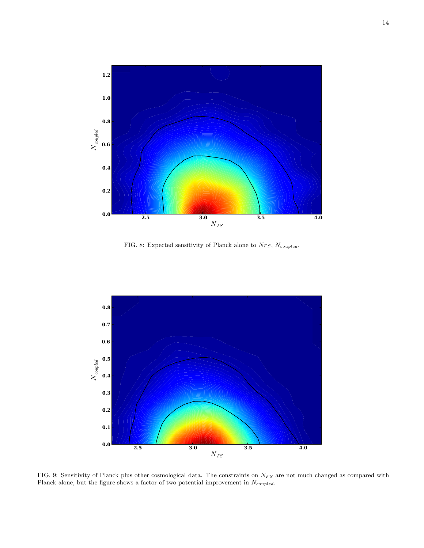

<span id="page-13-0"></span>FIG. 8: Expected sensitivity of Planck alone to  $N_{FS}, N_{coupled}$ .



<span id="page-13-1"></span>FIG. 9: Sensitivity of Planck plus other cosmological data. The constraints on  $N_{FS}$  are not much changed as compared with Planck alone, but the figure shows a factor of two potential improvement in  $N_{coupled}$ .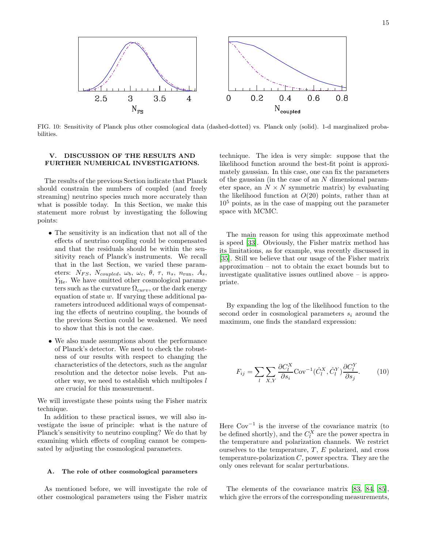

<span id="page-14-1"></span>FIG. 10: Sensitivity of Planck plus other cosmological data (dashed-dotted) vs. Planck only (solid). 1-d marginalized probabilities.

# V. DISCUSSION OF THE RESULTS AND FURTHER NUMERICAL INVESTIGATIONS.

The results of the previous Section indicate that Planck should constrain the numbers of coupled (and freely streaming) neutrino species much more accurately than what is possible today. In this Section, we make this statement more robust by investigating the following points:

- The sensitivity is an indication that not all of the effects of neutrino coupling could be compensated and that the residuals should be within the sensitivity reach of Planck's instruments. We recall that in the last Section, we varied these parameters:  $N_{FS}$ ,  $N_{coupled}$ ,  $\omega_b$ ,  $\omega_c$ ,  $\theta$ ,  $\tau$ ,  $n_s$ ,  $n_{run}$ ,  $A_s$ , Y<sub>He</sub>. We have omitted other cosmological parameters such as the curvature  $\Omega_{curv}$ , or the dark energy equation of state  $w$ . If varying these additional parameters introduced additional ways of compensating the effects of neutrino coupling, the bounds of the previous Section could be weakened. We need to show that this is not the case.
- We also made assumptions about the performance of Planck's detector. We need to check the robustness of our results with respect to changing the characteristics of the detectors, such as the angular resolution and the detector noise levels. Put another way, we need to establish which multipoles  $l$ are crucial for this measurement.

We will investigate these points using the Fisher matrix technique.

In addition to these practical issues, we will also investigate the issue of principle: what is the nature of Planck's sensitivity to neutrino coupling? We do that by examining which effects of coupling cannot be compensated by adjusting the cosmological parameters.

### <span id="page-14-0"></span>A. The role of other cosmological parameters

As mentioned before, we will investigate the role of other cosmological parameters using the Fisher matrix

technique. The idea is very simple: suppose that the likelihood function around the best-fit point is approximately gaussian. In this case, one can fix the parameters of the gaussian (in the case of an N dimensional parameter space, an  $N \times N$  symmetric matrix) by evaluating the likelihood function at  $O(20)$  points, rather than at  $10<sup>5</sup>$  points, as in the case of mapping out the parameter space with MCMC.

The main reason for using this approximate method is speed [\[33](#page-23-18)]. Obviously, the Fisher matrix method has its limitations, as for example, was recently discussed in [\[35\]](#page-23-20). Still we believe that our usage of the Fisher matrix approximation – not to obtain the exact bounds but to investigate qualitative issues outlined above – is appropriate.

By expanding the log of the likelihood function to the second order in cosmological parameters  $s_i$  around the maximum, one finds the standard expression:

<span id="page-14-2"></span>
$$
F_{ij} = \sum_{l} \sum_{X,Y} \frac{\partial C_l^X}{\partial s_i} \text{Cov}^{-1} (\hat{C}_l^X, \hat{C}_l^Y) \frac{\partial C_l^Y}{\partial s_j}.
$$
 (10)

Here  $\text{Cov}^{-1}$  is the inverse of the covariance matrix (to be defined shortly), and the  $C_l^X$  are the power spectra in the temperature and polarization channels. We restrict ourselves to the temperature,  $T$ ,  $E$  polarized, and cross temperature-polarization  $C$ , power spectra. They are the only ones relevant for scalar perturbations.

The elements of the covariance matrix [\[83](#page-24-10), [84,](#page-24-11) [85\]](#page-24-12), which give the errors of the corresponding measurements,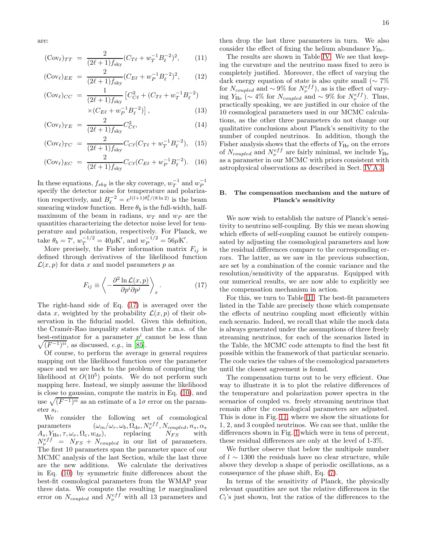are:

<span id="page-15-2"></span>
$$
(\text{Cov}_{\ell})_{TT} = \frac{2}{(2\ell+1)f_{\text{sky}}} (C_{T\ell} + w_T^{-1} B_{\ell}^{-2})^2, \qquad (11)
$$

$$
(\text{Cov}_{\ell})_{EE} = \frac{2}{(2\ell+1)f_{\text{sky}}} (C_{E\ell} + w_P^{-1} B_{\ell}^{-2})^2, \qquad (12)
$$

$$
\begin{aligned} (\text{Cov}_{\ell})_{CC} \ &= \frac{1}{(2\ell+1)f_{\text{sky}}} \left[ C_{C\ell}^2 + (C_{T\ell} + w_T^{-1} B_{\ell}^{-2}) \right] \\ &\times (C_{E\ell} + w_P^{-1} B_{\ell}^{-2}) \right], \end{aligned} \tag{13}
$$

$$
(\text{Cov}_{\ell})_{TE} = \frac{2}{(2\ell+1)f_{\text{sky}}}C_{C\ell}^2,
$$
\n(14)

$$
(\text{Cov}_{\ell})_{TC} = \frac{2}{(2\ell+1)f_{\text{sky}}} C_{C\ell} (C_{T\ell} + w_T^{-1} B_{\ell}^{-2}), \quad (15)
$$

$$
(\text{Cov}_{\ell})_{EC} = \frac{2}{(2\ell+1)f_{\text{sky}}}C_{C\ell}(C_{E\ell} + w_P^{-1}B_{\ell}^{-2}).
$$
 (16)

In these equations,  $f_{sky}$  is the sky coverage,  $w_T^{-1}$  and  $w_P^{-1}$ specify the detector noise for temperature and polarization respectively, and  $B_{\ell}^{-2} = e^{l(l+1)\theta_b^2/(8 \ln 2)}$  is the beam smearing window function. Here  $\theta_b$  is the full-width, halfmaximum of the beam in radians,  $w_T$  and  $w_P$  are the quantities characterizing the detector noise level for temperature and polarization, respectively. For Planck, we take  $\theta_b = 7'$ ,  $w_T^{-1/2} = 40 \mu K'$ , and  $w_P^{-1/2} = 56 \mu K'$ .

More precisely, the Fisher information matrix  $F_{ij}$  is defined through derivatives of the likelihood function  $\mathcal{L}(x, p)$  for data x and model parameters p as

<span id="page-15-1"></span>
$$
F_{ij} \equiv \left\langle -\frac{\partial^2 \ln \mathcal{L}(x, p)}{\partial p^i \partial p^j} \right\rangle_x.
$$
 (17)

The right-hand side of Eq. [\(17\)](#page-15-1) is averaged over the data x, weighted by the probability  $\mathcal{L}(x, p)$  of their observation in the fiducial model. Given this definition, the Cramér-Rao inequality states that the r.m.s. of the best-estimator for a parameter  $p^i$  cannot be less than  $\sqrt{(F^{-1})^{ii}}$ , as discussed, e.g., in [\[85\]](#page-24-12).

Of course, to perform the average in general requires mapping out the likelihood function over the parameter space and we are back to the problem of computing the likelihood at  $O(10^5)$  points. We do not perform such mapping here. Instead, we simply assume the likelihood is close to gaussian, compute the matrix in Eq. [\(10\)](#page-14-2), and use  $\sqrt{(F^{-1})^{ii}}$  as an estimate of a 1 $\sigma$  error on the parameter s<sup>i</sup> .

We consider the following set of cosmological parameters  $(\omega_m/\omega_r, \omega_b, \Omega_{\text{de}}, N_{\nu}^{eff}, N_{coupled}, n_s, \alpha_s)$  $A_s, Y_{\text{He}}, \tau, \omega_\nu, \Omega_{\text{c}}, w_{\text{de}}),$  replacing  $N_{FS}$  with  $N_{\nu}^{eff}$  =  $N_{FS}$  +  $N_{coupled}$  in our list of parameters. The first 10 parameters span the parameter space of our MCMC analysis of the last Section, while the last three are the new additions. We calculate the derivatives in Eq. [\(10\)](#page-14-2) by symmetric finite differences about the best-fit cosmological parameters from the WMAP year three data. We compute the resulting  $1\sigma$  marginalized error on  $N_{coupled}$  and  $N_{\nu}^{eff}$  with all 13 parameters and

then drop the last three parameters in turn. We also consider the effect of fixing the helium abundance  $Y_{\text{He}}$ .

The results are shown in Table [IV.](#page-16-1) We see that keeping the curvature and the neutrino mass fixed to zero is completely justified. Moreover, the effect of varying the dark energy equation of state is also quite small ( $\sim 7\%$ ) for  $N_{coupled}$  and  $\sim 9\%$  for  $N_{\nu}^{eff}$ ), as is the effect of varying  $Y_{\text{He}}$  (~ 4% for  $N_{coupled}$  and ~ 9% for  $N_{\nu}^{eff}$ ). Thus, practically speaking, we are justified in our choice of the 10 cosmological parameters used in our MCMC calculations, as the other three parameters do not change our qualitative conclusions about Planck's sensitivity to the number of coupled neutrinos. In addition, though the Fisher analysis shows that the effects of  $Y_{\text{He}}$  on the errors of  $N_{coupled}$  and  $N_{\nu}^{eff}$  are fairly minimal, we include  $Y_{\text{He}}$ as a parameter in our MCMC with priors consistent with astrophysical observations as described in Sect. [IV A 3.](#page-7-0)

### <span id="page-15-0"></span>B. The compensation mechanism and the nature of Planck's sensitivity

We now wish to establish the nature of Planck's sensitivity to neutrino self-coupling. By this we mean showing which effects of self-coupling cannot be entirely compensated by adjusting the cosmological parameters and how the residual differences compare to the corresponding errors. The latter, as we saw in the previous subsection, are set by a combination of the cosmic variance and the resolution/sensitivity of the apparatus. Equipped with our numerical results, we are now able to explicitly see the compensation mechanism in action.

For this, we turn to Table [III.](#page-12-0) The best-fit parameters listed in the Table are precisely those which compensate the effects of neutrino coupling most efficiently within each scenario. Indeed, we recall that while the mock data is always generated under the assumptions of three freely streaming neutrinos, for each of the scenarios listed in the Table, the MCMC code attempts to find the best fit possible within the framework of that particular scenario. The code varies the values of the cosmological parameters until the closest agreement is found.

The compensation turns out to be very efficient. One way to illustrate it is to plot the relative differences of the temperature and polarization power spectra in the scenarios of coupled vs. freely streaming neutrinos that remain after the cosmological parameters are adjusted. This is done in Fig. [11,](#page-16-2) where we show the situations for 1, 2, and 3 coupled neutrinos. We can see that, unlike the differences shown in Fig. [1](#page-4-0) which were in tens of percent, these residual differences are only at the level of 1-3%.

We further observe that below the multipole number of l ∼ 1300 the residuals have no clear structure, while above they develop a shape of periodic oscillations, as a consequence of the phase shift, Eq. [\(7\)](#page-3-1).

In terms of the sensitivity of Planck, the physically relevant quantities are not the relative differences in the  $C_l$ 's just shown, but the ratios of the differences to the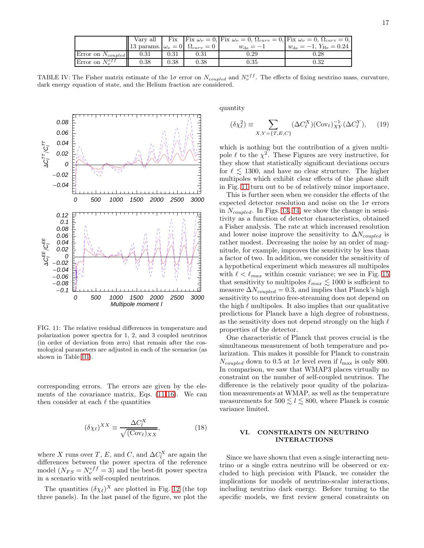|                          | Vary all                                       |      |            |                    | Fix $ \text{Fix } \omega_{\nu}=0 $ , Fix $\omega_{\nu}=0$ , $\Omega_{curv}=0$ , Fix $\omega_{\nu}=0$ , $\Omega_{curv}=0$ , $ $ |
|--------------------------|------------------------------------------------|------|------------|--------------------|--------------------------------------------------------------------------------------------------------------------------------|
|                          | 13 params. $ \omega_{\nu}=0  \Omega_{curv}=0 $ |      |            | $w_{\text{de}}=-1$ | $w_{\text{de}} = -1, Y_{\text{He}} = 0.24$                                                                                     |
| Error on $N_{coupled}$   | 0.31                                           | 0.31 | $\rm 0.31$ | 0.29               | $0.28\,$                                                                                                                       |
| Error on $N_{\nu}^{eff}$ | 0.38                                           | 0.38 | 0.38       | $\rm 0.35$         | $\rm 0.32$                                                                                                                     |

<span id="page-16-1"></span>TABLE IV: The Fisher matrix estimate of the 1 $\sigma$  error on  $N_{coupled}$  and  $N_{\nu}^{eff}$ . The effects of fixing neutrino mass, curvature, dark energy equation of state, and the Helium fraction are considered.



<span id="page-16-2"></span>FIG. 11: The relative residual differences in temperature and polarization power spectra for 1, 2, and 3 coupled neutrinos (in order of deviation from zero) that remain after the cosmological parameters are adjusted in each of the scenarios (as shown in Table [III\)](#page-12-0).

corresponding errors. The errors are given by the elements of the covariance matrix, Eqs. [\(11-16\)](#page-15-2). We can then consider at each  $\ell$  the quantities

<span id="page-16-3"></span>
$$
(\delta \chi_{\ell})^{XX} \equiv \frac{\Delta C_l^X}{\sqrt{(\text{Cov}_{\ell})_{XX}}},\tag{18}
$$

where X runs over T, E, and C, and  $\Delta C_l^X$  are again the differences between the power spectra of the reference model  $(N_{FS} = N_{\nu}^{eff} = 3)$  and the best-fit power spectra in a scenario with self-coupled neutrinos.

The quantities  $(\delta \chi_{\ell})^X$  are plotted in Fig. [12](#page-17-0) (the top three panels). In the last panel of the figure, we plot the quantity

<span id="page-16-4"></span>
$$
(\delta \chi_{\ell}^2) \equiv \sum_{X,Y=\{T,E,C\}} (\Delta C_{\ell}^X)(\text{Cov}_{\ell})_{XY}^{-1}(\Delta C_{\ell}^Y), \quad (19)
$$

which is nothing but the contribution of a given multipole  $\ell$  to the  $\chi^2$ . These Figures are very instructive, for they show that statistically significant deviations occurs for  $\ell \leq 1300$ , and have no clear structure. The higher multipoles which exhibit clear effects of the phase shift in Fig. [11](#page-16-2) turn out to be of relatively minor importance.

This is further seen when we consider the effects of the expected detector resolution and noise on the  $1\sigma$  errors in  $N_{\text{coupled}}$ . In Figs. [13,](#page-17-1) [14,](#page-17-2) we show the change in sensitivity as a function of detector characteristics, obtained a Fisher analysis. The rate at which increased resolution and lower noise improve the sensitivity to  $\Delta N_{coupled}$  is rather modest. Decreasing the noise by an order of magnitude, for example, improves the sensitivity by less than a factor of two. In addition, we consider the sensitivity of a hypothetical experiment which measures all multipoles with  $\ell < \ell_{max}$  within cosmic variance; we see in Fig. [15](#page-18-0) that sensitivity to multipoles  $\ell_{max} \lesssim 1000$  is sufficient to measure  $\Delta N_{coupled} = 0.3$ , and implies that Planck's high sensitivity to neutrino free-streaming does not depend on the high  $\ell$  multipoles. It also implies that our qualitative predictions for Planck have a high degree of robustness, as the sensitivity does not depend strongly on the high  $\ell$ properties of the detector.

One characteristic of Planck that proves crucial is the simultaneous measurement of both temperature and polarization. This makes it possible for Planck to constrain  $N_{coupled}$  down to 0.5 at  $1\sigma$  level even if  $l_{\text{max}}$  is only 800. In comparison, we saw that WMAP3 places virtually no constraint on the number of self-coupled neutrinos. The difference is the relatively poor quality of the polarization measurements at WMAP, as well as the temperature measurements for  $500 \le l \le 800$ , where Planck is cosmic variance limited.

### <span id="page-16-0"></span>VI. CONSTRAINTS ON NEUTRINO INTERACTIONS

Since we have shown that even a single interacting neutrino or a single extra neutrino will be observed or excluded to high precision with Planck, we consider the implications for models of neutrino-scalar interactions, including neutrino dark energy. Before turning to the specific models, we first review general constraints on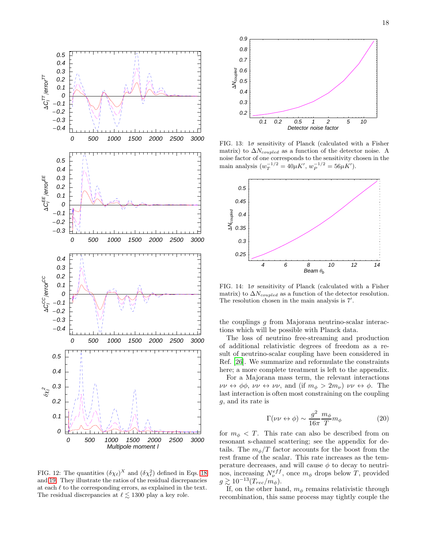

<span id="page-17-0"></span>FIG. 12: The quantities  $(\delta \chi_{\ell})^X$  and  $(\delta \chi_{\ell}^2)$  defined in Eqs. [18](#page-16-3) and [19.](#page-16-4) They illustrate the ratios of the residual discrepancies at each  $\ell$  to the corresponding errors, as explained in the text. The residual discrepancies at  $\ell \lesssim 1300$  play a key role.



<span id="page-17-1"></span>FIG. 13:  $1\sigma$  sensitivity of Planck (calculated with a Fisher matrix) to  $\Delta N_{coupled}$  as a function of the detector noise. A noise factor of one corresponds to the sensitivity chosen in the main analysis  $(w_T^{-1/2} = 40 \mu K', w_P^{-1/2} = 56 \mu K').$ 



<span id="page-17-2"></span>FIG. 14:  $1\sigma$  sensitivity of Planck (calculated with a Fisher matrix) to  $\Delta N_{coupled}$  as a function of the detector resolution. The resolution chosen in the main analysis is 7'.

the couplings g from Majorana neutrino-scalar interactions which will be possible with Planck data.

The loss of neutrino free-streaming and production of additional relativistic degrees of freedom as a result of neutrino-scalar coupling have been considered in Ref. [\[26](#page-23-11)]. We summarize and reformulate the constraints here; a more complete treatment is left to the appendix.

For a Majorana mass term, the relevant interactions  $\nu\nu \leftrightarrow \phi\phi$ ,  $\nu\nu \leftrightarrow \nu\nu$ , and (if  $m_{\phi} > 2m_{\nu}$ )  $\nu\nu \leftrightarrow \phi$ . The last interaction is often most constraining on the coupling g, and its rate is

$$
\Gamma(\nu\nu \leftrightarrow \phi) \sim \frac{g^2}{16\pi} \frac{m_{\phi}}{T} m_{\phi}
$$
 (20)

for  $m_{\phi} < T$ . This rate can also be described from on resonant s-channel scattering; see the appendix for details. The  $m_{\phi}/T$  factor accounts for the boost from the rest frame of the scalar. This rate increases as the temperature decreases, and will cause  $\phi$  to decay to neutrinos, increasing  $N_{\nu}^{eff}$ , once  $m_{\phi}$  drops below T, provided  $g \gtrsim 10^{-13} (T_{rec}/m_{\phi}).$ 

If, on the other hand,  $m_{\phi}$  remains relativistic through recombination, this same process may tightly couple the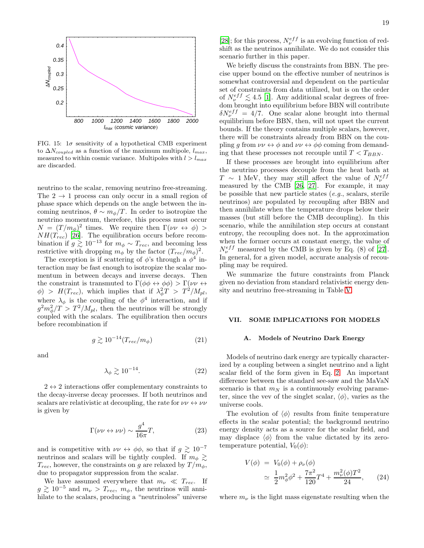

<span id="page-18-0"></span>FIG. 15:  $1\sigma$  sensitivity of a hypothetical CMB experiment to  $\Delta N_{coupled}$  as a function of the maximum multipole,  $l_{max}$ , measured to within cosmic variance. Multipoles with  $l > l_{max}$ are discarded.

neutrino to the scalar, removing neutrino free-streaming. The  $2 \rightarrow 1$  process can only occur in a small region of phase space which depends on the angle between the incoming neutrinos,  $\theta \sim m_{\phi}/T$ . In order to isotropize the neutrino momentum, therefore, this process must occur  $N = (T/m_{\phi})^2$  times. We require then  $\Gamma(\nu\nu \leftrightarrow \phi)$  $NH(T_{rec})$  [\[26](#page-23-11)]. The equilibration occurs before recombination if  $g \gtrsim 10^{-13}$  for  $m_{\phi} \sim T_{rec}$ , and becoming less restrictive with dropping  $m_{\phi}$  by the factor  $(T_{rec}/m_{\phi})^2$ .

The exception is if scattering of  $\phi$ 's through a  $\phi^4$  interaction may be fast enough to isotropize the scalar momentum in between decays and inverse decays. Then the constraint is transmuted to  $\Gamma(\phi \phi \leftrightarrow \phi \phi) > \Gamma(\nu \nu \leftrightarrow \phi)$  $\phi$ ) >  $H(T_{rec})$ , which implies that if  $\lambda_{\phi}^2 T$  >  $T^2/M_{pl}$ , where  $\lambda_{\phi}$  is the coupling of the  $\phi^4$  interaction, and if  $g^2 m_\phi^2/T > T^2/M_{pl}$ , then the neutrinos will be strongly coupled with the scalars. The equilibration then occurs before recombination if

$$
g \gtrsim 10^{-14} (T_{rec}/m_{\phi}) \tag{21}
$$

and

$$
\lambda_{\phi} \gtrsim 10^{-14}.\tag{22}
$$

 $2 \leftrightarrow 2$  interactions offer complementary constraints to the decay-inverse decay processes. If both neutrinos and scalars are relativistic at decoupling, the rate for  $\nu\nu \leftrightarrow \nu\nu$ is given by

$$
\Gamma(\nu\nu \leftrightarrow \nu\nu) \sim \frac{g^4}{16\pi} T,\tag{23}
$$

and is competitive with  $\nu\nu \leftrightarrow \phi\phi$ , so that if  $g \gtrsim 10^{-7}$ neutrinos and scalars will be tightly coupled. If  $m_{\phi} \gtrsim$  $T_{rec}$ , however, the constraints on g are relaxed by  $T/m_{\phi}$ , due to propagator suppression from the scalar.

We have assumed everywhere that  $m_{\nu} \ll T_{rec}$ . If  $g \gtrsim 10^{-5}$  and  $m_{\nu} > T_{rec}$ ,  $m_{\phi}$ , the neutrinos will annihilate to the scalars, producing a "neutrinoless" universe

[\[28\]](#page-23-13); for this process,  $N_{\nu}^{eff}$  is an evolving function of redshift as the neutrinos annihilate. We do not consider this scenario further in this paper.

We briefly discuss the constraints from BBN. The precise upper bound on the effective number of neutrinos is somewhat controversial and dependent on the particular set of constraints from data utilized, but is on the order of  $N_{\nu}^{eff} \lesssim 4.5$  [\[1\]](#page-22-0). Any additional scalar degrees of freedom brought into equilibrium before BBN will contribute  $\delta N_{\nu}^{eff} = 4/7$ . One scalar alone brought into thermal equilibrium before BBN, then, will not upset the current bounds. If the theory contains multiple scalars, however, there will be constraints already from BBN on the coupling g from  $\nu\nu \leftrightarrow \phi$  and  $\nu\nu \leftrightarrow \phi\phi$  coming from demanding that these processes not recouple until  $T < T_{BBN}$ .

If these processes are brought into equilibrium after the neutrino processes decouple from the heat bath at  $T \sim 1$  MeV, they may still affect the value of  $N_{\nu}^{eff}$ measured by the CMB [\[26,](#page-23-11) [27](#page-23-12)]. For example, it may be possible that new particle states  $(e.g., \, scalars, \, sterile)$ neutrinos) are populated by recoupling after BBN and then annihilate when the temperature drops below their masses (but still before the CMB decoupling). In this scenario, while the annihilation step occurs at constant entropy, the recoupling does not. In the approximation when the former occurs at constant energy, the value of  $N_{\nu}^{eff}$  measured by the CMB is given by Eq. (8) of [\[27\]](#page-23-12). In general, for a given model, accurate analysis of recoupling may be required.

We summarize the future constraints from Planck given no deviation from standard relativistic energy density and neutrino free-streaming in Table [V.](#page-19-0)

# VII. SOME IMPLICATIONS FOR MODELS

### A. Models of Neutrino Dark Energy

Models of neutrino dark energy are typically characterized by a coupling between a singlet neutrino and a light scalar field of the form given in Eq. [2.](#page-2-2) An important difference between the standard see-saw and the MaVaN scenario is that  $m_N$  is a continuously evolving parameter, since the vev of the singlet scalar,  $\langle \phi \rangle$ , varies as the universe cools.

The evolution of  $\langle \phi \rangle$  results from finite temperature effects in the scalar potential; the background neutrino energy density acts as a source for the scalar field, and may displace  $\langle \phi \rangle$  from the value dictated by its zerotemperature potential,  $V_0(\phi)$ :

<span id="page-18-1"></span>
$$
V(\phi) = V_0(\phi) + \rho_{\nu}(\phi)
$$
  
\n
$$
\simeq \frac{1}{2} m_{\phi}^2 \phi^2 + \frac{7\pi^2}{120} T^4 + \frac{m_{\nu}^2(\phi) T^2}{24}, \qquad (24)
$$

where  $m_{\nu}$  is the light mass eigenstate resulting when the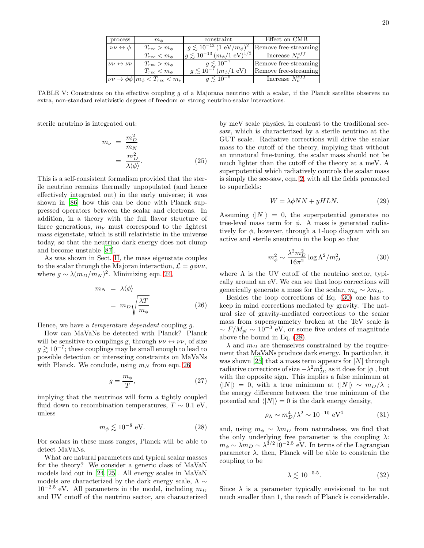| process                         | $m_{\phi}$                                                         | constraint                                          | Effect on CMB            |  |  |  |
|---------------------------------|--------------------------------------------------------------------|-----------------------------------------------------|--------------------------|--|--|--|
| $\nu\nu \leftrightarrow \phi$   | $T_{rec} > m_{\phi}$                                               | $q \lesssim 10^{-13} (1 \text{ eV}/m_{\phi})^2$     | Remove free-streaming    |  |  |  |
|                                 | $T_{rec} < m_{\phi}$                                               | $g \lesssim 10^{-13} (m_{\phi}/1 \text{ eV})^{1/2}$ | Increase $N_{\nu}^{eff}$ |  |  |  |
| $\nu\nu \leftrightarrow \nu\nu$ | $T_{rec} > m_{\phi}$                                               | $g \lesssim 10^{-7}$                                | Remove free-streaming    |  |  |  |
|                                 | $T_{rec} < m_{\phi}$                                               | $q \lesssim 10^{-7} (m_{\phi}/1 \text{ eV})$        | Remove free-streaming    |  |  |  |
|                                 | $\nu\nu \rightarrow \phi\phi \,   \, m_{\phi} < T_{rec} < m_{\nu}$ | $q \leq 10^{-5}$                                    | Increase $N_{\nu}^{eff}$ |  |  |  |

<span id="page-19-0"></span>TABLE V: Constraints on the effective coupling q of a Majorana neutrino with a scalar, if the Planck satellite observes no extra, non-standard relativistic degrees of freedom or strong neutrino-scalar interactions.

sterile neutrino is integrated out:

$$
m_{\nu} = \frac{m_D^2}{m_N}
$$
  
= 
$$
\frac{m_D^2}{\lambda \langle \phi \rangle}.
$$
 (25)

This is a self-consistent formalism provided that the sterile neutrino remains thermally unpopulated (and hence effectively integrated out) in the early universe; it was shown in [\[86\]](#page-24-13) how this can be done with Planck suppressed operators between the scalar and electrons. In addition, in a theory with the full flavor structure of three generations,  $m_{\nu}$  must correspond to the lightest mass eigenstate, which is still relativistic in the universe today, so that the neutrino dark energy does not clump and become unstable [\[87\]](#page-24-14).

As was shown in Sect. [II,](#page-1-0) the mass eigenstate couples to the scalar through the Majoran interaction,  $\mathcal{L} = g \phi \nu \nu$ , where  $g \sim \lambda (m_D/m_N)^2$ . Minimizing eqn. [24,](#page-18-1)

<span id="page-19-1"></span>
$$
m_N = \lambda \langle \phi \rangle
$$
  
=  $m_D \sqrt{\frac{\lambda T}{m_\phi}}$  (26)

Hence, we have a *temperature dependent* coupling q.

How can MaVaNs be detected with Planck? Planck will be sensitive to couplings g, through  $\nu\nu \leftrightarrow \nu\nu$ , of size  $g \gtrsim 10^{-7}$ ; these couplings may be small enough to lead to possible detection or interesting constraints on MaVaNs with Planck. We conclude, using  $m_N$  from eqn. [26](#page-19-1)

$$
g = \frac{m_{\phi}}{T},\tag{27}
$$

implying that the neutrinos will form a tightly coupled fluid down to recombination temperatures,  $T \sim 0.1$  eV, unless

<span id="page-19-3"></span>
$$
m_{\phi} \lesssim 10^{-8} \text{ eV}.\tag{28}
$$

For scalars in these mass ranges, Planck will be able to detect MaVaNs.

What are natural parameters and typical scalar masses for the theory? We consider a generic class of MaVaN models laid out in [\[24,](#page-23-9) [25\]](#page-23-10). All energy scales in MaVaN models are characterized by the dark energy scale,  $\Lambda \sim$  $10^{-2.5}$  eV. All parameters in the model, including  $m_D$ and UV cutoff of the neutrino sector, are characterized

by meV scale physics, in contrast to the traditional seesaw, which is characterized by a sterile neutrino at the GUT scale. Radiative corrections will drive the scalar mass to the cutoff of the theory, implying that without an unnatural fine-tuning, the scalar mass should not be much lighter than the cutoff of the theory at a meV. A superpotential which radiatively controls the scalar mass is simply the see-saw, eqn. [2,](#page-2-2) with all the fields promoted to superfields:

$$
W = \lambda \phi NN + yHLN.
$$
 (29)

Assuming  $\langle |N| \rangle = 0$ , the superpotential generates no tree-level mass term for  $\phi$ . A mass is generated radiatively for  $\phi$ , however, through a 1-loop diagram with an active and sterile sneutrino in the loop so that

<span id="page-19-2"></span>
$$
m_{\phi}^2 \sim \frac{\lambda^2 m_D^2}{16\pi^2} \log \Lambda^2 / m_D^2 \tag{30}
$$

where  $\Lambda$  is the UV cutoff of the neutrino sector, typically around an eV. We can see that loop corrections will generically generate a mass for the scalar,  $m_{\phi} \sim \lambda m_D$ .

Besides the loop corrections of Eq. [\(30\)](#page-19-2) one has to keep in mind corrections mediated by gravity. The natural size of gravity-mediated corrections to the scalar mass from supersymmetry broken at the TeV scale is  $\sim F/M_{pl} \sim 10^{-3}$  eV, or some five orders of magnitude above the bound in Eq. [\(28\)](#page-19-3).

 $\lambda$  and  $m_D$  are themselves constrained by the requirement that MaVaNs produce dark energy. In particular, it was shown [\[25\]](#page-23-10) that a mass term appears for  $|N|$  through radiative corrections of size  $-\lambda^2 m_D^2$ , as it does for  $|\phi|$ , but with the opposite sign. This implies a false minimum at  $\langle|N|\rangle = 0$ , with a true minimum at  $\langle|N|\rangle \sim m_D/\lambda$ ; the energy difference between the true minimum of the potential and  $\langle |N| \rangle = 0$  is the dark energy density,

$$
\rho_{\Lambda} \sim m_D^4 / \lambda^2 \sim 10^{-10} \text{ eV}^4 \tag{31}
$$

and, using  $m_{\phi} \sim \lambda m_D$  from naturalness, we find that the only underlying free parameter is the coupling  $\lambda$ :  $m_{\phi} \sim \lambda m_D \sim \lambda^{3/2} 10^{-2.5}$  eV. In terms of the Lagrangian parameter  $\lambda$ , then, Planck will be able to constrain the coupling to be

$$
\lambda \lesssim 10^{-5.5}.\tag{32}
$$

Since  $\lambda$  is a parameter typically envisioned to be not much smaller than 1, the reach of Planck is considerable.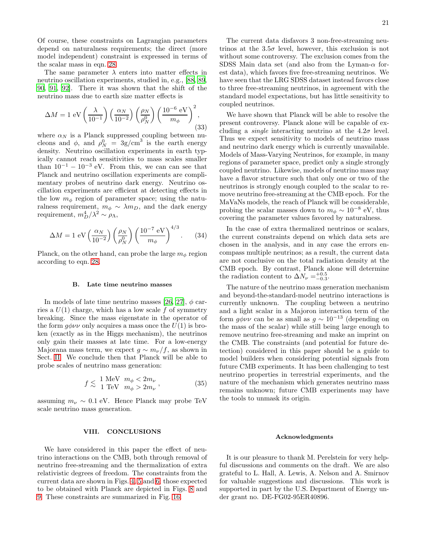Of course, these constraints on Lagrangian parameters depend on naturalness requirements; the direct (more model independent) constraint is expressed in terms of the scalar mass in eqn. [28.](#page-19-3)

The same parameter  $\lambda$  enters into matter effects in neutrino oscillation experiments, studied in, e.g., [\[88,](#page-24-15) [89](#page-24-16), [90,](#page-24-17) [91,](#page-24-18) [92\]](#page-24-19). There it was shown that the shift of the neutrino mass due to earth size matter effects is

$$
\Delta M = 1 \text{ eV} \left(\frac{\lambda}{10^{-1}}\right) \left(\frac{\alpha_N}{10^{-2}}\right) \left(\frac{\rho_N}{\rho_N^0}\right) \left(\frac{10^{-6} \text{ eV}}{m_\phi}\right)^2, \tag{33}
$$

where  $\alpha_N$  is a Planck suppressed coupling between nucleons and  $\phi$ , and  $\rho_N^0 = 3g/cm^3$  is the earth energy density. Neutrino oscillation experiments in earth typically cannot reach sensitivities to mass scales smaller than  $10^{-1} - 10^{-3}$  eV. From this, we can can see that Planck and neutrino oscillation experiments are complimentary probes of neutrino dark energy. Neutrino oscillation experiments are efficient at detecting effects in the low  $m_{\phi}$  region of parameter space; using the naturalness requirement,  $m_{\phi} \sim \lambda m_D$ , and the dark energy requirement,  $m_D^4/\lambda^2 \sim \rho_\Lambda$ ,

$$
\Delta M = 1 \text{ eV} \left(\frac{\alpha_N}{10^{-2}}\right) \left(\frac{\rho_N}{\rho_N^0}\right) \left(\frac{10^{-7} \text{ eV}}{m_\phi}\right)^{4/3}.
$$
 (34)

Planck, on the other hand, can probe the large  $m_{\phi}$  region according to eqn. [28.](#page-19-3)

### B. Late time neutrino masses

In models of late time neutrino masses [\[26,](#page-23-11) [27\]](#page-23-12),  $\phi$  carries a  $U(1)$  charge, which has a low scale f of symmetry breaking. Since the mass eigenstate in the operator of the form  $g\phi\nu\nu$  only acquires a mass once the  $U(1)$  is broken (exactly as in the Higgs mechanism), the neutrinos only gain their masses at late time. For a low-energy Majorana mass term, we expect  $g \sim m_{\nu}/f$ , as shown in Sect. [II.](#page-1-0) We conclude then that Planck will be able to probe scales of neutrino mass generation:

$$
f \lesssim \frac{1 \text{ MeV}}{1 \text{ TeV}} \frac{m_{\phi} < 2m_{\nu}}{m_{\phi} > 2m_{\nu}},\tag{35}
$$

assuming  $m_{\nu} \sim 0.1$  eV. Hence Planck may probe TeV scale neutrino mass generation.

### VIII. CONCLUSIONS

We have considered in this paper the effect of neutrino interactions on the CMB, both through removal of neutrino free-streaming and the thermalization of extra relativistic degrees of freedom. The constraints from the current data are shown in Figs. [4,](#page-9-1) [5](#page-10-0) and [6;](#page-10-1) those expected to be obtained with Planck are depicted in Figs. [8](#page-13-0) and [9.](#page-13-1) These constraints are summarized in Fig. [16.](#page-21-0)

The current data disfavors 3 non-free-streaming neutrinos at the  $3.5\sigma$  level, however, this exclusion is not without some controversy. The exclusion comes from the SDSS Main data set (and also from the Lyman- $\alpha$  forest data), which favors five free-streaming neutrinos. We have seen that the LRG SDSS dataset instead favors close to three free-streaming neutrinos, in agreement with the standard model expectations, but has little sensitivity to coupled neutrinos.

We have shown that Planck will be able to resolve the present controversy. Planck alone will be capable of excluding a *single* interacting neutrino at the  $4.2\sigma$  level. Thus we expect sensitivity to models of neutrino mass and neutrino dark energy which is currently unavailable. Models of Mass-Varying Neutrinos, for example, in many regions of parameter space, predict only a single strongly coupled neutrino. Likewise, models of neutrino mass may have a flavor structure such that only one or two of the neutrinos is strongly enough coupled to the scalar to remove neutrino free-streaming at the CMB epoch. For the MaVaNs models, the reach of Planck will be considerable, probing the scalar masses down to  $m_{\phi} \sim 10^{-8}$  eV, thus covering the parameter values favored by naturalness.

In the case of extra thermalized neutrinos or scalars, the current constraints depend on which data sets are chosen in the analysis, and in any case the errors encompass multiple neutrinos; as a result, the current data are not conclusive on the total radiation density at the CMB epoch. By contrast, Planck alone will determine the radiation content to  $\Delta N_{\nu} = ^{+0.5}_{-0.3}$ .

The nature of the neutrino mass generation mechanism and beyond-the-standard-model neutrino interactions is currently unknown. The coupling between a neutrino and a light scalar in a Majoron interaction term of the form  $g\phi\nu\nu$  can be as small as  $g \sim 10^{-13}$  (depending on the mass of the scalar) while still being large enough to remove neutrino free-streaming and make an imprint on the CMB. The constraints (and potential for future detection) considered in this paper should be a guide to model builders when considering potential signals from future CMB experiments. It has been challenging to test neutrino properties in terrestrial experiments, and the nature of the mechanism which generates neutrino mass remains unknown; future CMB experiments may have the tools to unmask its origin.

### Acknowledgments

It is our pleasure to thank M. Perelstein for very helpful discussions and comments on the draft. We are also grateful to L. Hall, A. Lewis, A. Nelson and A. Smirnov for valuable suggestions and discussions. This work is supported in part by the U.S. Department of Energy under grant no. DE-FG02-95ER40896.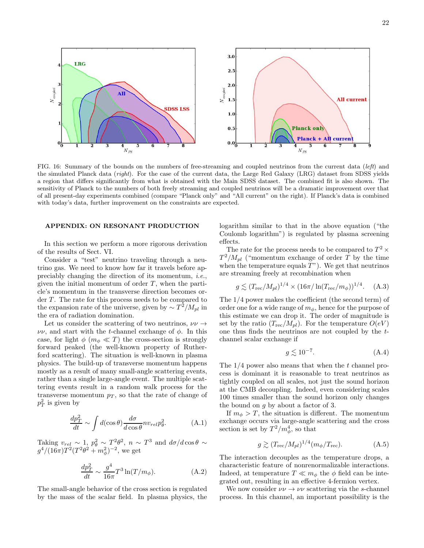

<span id="page-21-0"></span>FIG. 16: Summary of the bounds on the numbers of free-streaming and coupled neutrinos from the current data (*left*) and the simulated Planck data (*right*). For the case of the current data, the Large Red Galaxy (LRG) dataset from SDSS yields a region that differs significantly from what is obtained with the Main SDSS dataset. The combined fit is also shown. The sensitivity of Planck to the numbers of both freely streaming and coupled neutrinos will be a dramatic improvement over that of all present-day experiments combined (compare "Planck only" and "All current" on the right). If Planck's data is combined with today's data, further improvement on the constraints are expected.

#### APPENDIX: ON RESONANT PRODUCTION

In this section we perform a more rigorous derivation of the results of Sect. VI.

Consider a "test" neutrino traveling through a neutrino gas. We need to know how far it travels before appreciably changing the direction of its momentum, *i.e.*, given the initial momentum of order  $T$ , when the particle's momentum in the transverse direction becomes order  $T$ . The rate for this process needs to be compared to the expansion rate of the universe, given by  $\sim T^2/M_{pl}$  in the era of radiation domination.

Let us consider the scattering of two neutrinos,  $\nu\nu \rightarrow$  $\nu\nu$ , and start with the t-channel exchange of  $\phi$ . In this case, for light  $\phi$  ( $m_{\phi} \ll T$ ) the cross-section is strongly forward peaked (the well-known property of Rutherford scattering). The situation is well-known in plasma physics. The build-up of transverse momentum happens mostly as a result of many small-angle scattering events, rather than a single large-angle event. The multiple scattering events result in a random walk process for the transverse momentum  $p_T$ , so that the rate of change of  $p_T^2$  is given by

$$
\frac{dp_T^2}{dt} \sim \int d(\cos \theta) \frac{d\sigma}{d\cos \theta} n v_{rel} p_\theta^2.
$$
 (A.1)

Taking  $v_{rel} \sim 1$ ,  $p_{\theta}^2 \sim T^2 \theta^2$ ,  $n \sim T^3$  and  $d\sigma/d\cos\theta \sim$  $g^4/(16\pi)T^2(T^2\theta^2+m_\phi^2)^{-2}$ , we get

$$
\frac{dp_T^2}{dt} \sim \frac{g^4}{16\pi} T^3 \ln(T/m_\phi). \tag{A.2}
$$

The small-angle behavior of the cross section is regulated by the mass of the scalar field. In plasma physics, the logarithm similar to that in the above equation ("the Coulomb logarithm") is regulated by plasma screening effects.

The rate for the process needs to be compared to  $T^2 \times$  $T^2/M_{pl}$  ("momentum exchange of order T by the time when the temperature equals  $T$ "). We get that neutrinos are streaming freely at recombination when

<span id="page-21-1"></span>
$$
g \lesssim (T_{\rm rec}/M_{pl})^{1/4} \times (16\pi/\ln(T_{\rm rec}/m_{\phi}))^{1/4}.
$$
 (A.3)

The 1/4 power makes the coefficient (the second term) of order one for a wide range of  $m<sub>\phi</sub>$ , hence for the purpose of this estimate we can drop it. The order of magnitude is set by the ratio  $(T_{\text{rec}}/M_{pl})$ . For the temperature  $O(eV)$ one thus finds the neutrinos are not coupled by the tchannel scalar exchange if

$$
g \lesssim 10^{-7}.\tag{A.4}
$$

The  $1/4$  power also means that when the t channel process is dominant it is reasonable to treat neutrinos as tightly coupled on all scales, not just the sound horizon at the CMB decoupling. Indeed, even considering scales 100 times smaller than the sound horizon only changes the bound on g by about a factor of 3.

If  $m_{\phi} > T$ , the situation is different. The momentum exchange occurs via large-angle scattering and the cross section is set by  $T^2/m_\phi^4$ , so that

$$
g \gtrsim (T_{\rm rec}/M_{pl})^{1/4} (m_{\phi}/T_{\rm rec}). \tag{A.5}
$$

The interaction decouples as the temperature drops, a characteristic feature of nonrenormalizable interactions. Indeed, at temperature  $T \ll m_{\phi}$  the  $\phi$  field can be integrated out, resulting in an effective 4-fermion vertex.

We now consider  $\nu\nu \rightarrow \nu\nu$  scattering via the s-channel process. In this channel, an important possibility is the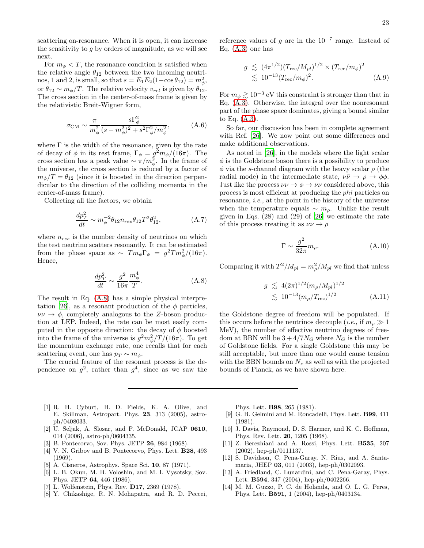scattering on-resonance. When it is open, it can increase the sensitivity to  $g$  by orders of magnitude, as we will see next.

For  $m_{\phi} < T$ , the resonance condition is satisfied when the relative angle  $\theta_{12}$  between the two incoming neutrinos, 1 and 2, is small, so that  $s = E_1 E_2(1 - \cos \theta_{12}) = m_\phi^2$ , or  $\theta_{12} \sim m_{\phi}/T$ . The relative velocity  $v_{rel}$  is given by  $\theta_{12}$ . The cross section in the center-of-mass frame is given by the relativistic Breit-Wigner form,

$$
\sigma_{\rm CM} \sim \frac{\pi}{m_{\phi}^2} \frac{s\Gamma_{\phi}^2}{(s-m_{\phi}^2)^2 + s^2 \Gamma_{\phi}^2/m_{\phi}^2}, \tag{A.6}
$$

where  $\Gamma$  is the width of the resonance, given by the rate of decay of  $\phi$  in its rest frame,  $\Gamma_{\phi} = g^2 m_{\phi}/(16\pi)$ . The cross section has a peak value  $\sim \pi/m_\phi^2$ . In the frame of the universe, the cross section is reduced by a factor of  $m_{\phi}/T = \theta_{12}$  (since it is boosted in the direction perpendicular to the direction of the colliding momenta in the center-of-mass frame).

Collecting all the factors, we obtain

$$
\frac{dp_T^2}{dt} \sim m_{\phi}^{-2} \theta_{12} n_{res} \theta_{12} T^2 \theta_{12}^2,\tag{A.7}
$$

where  $n_{res}$  is the number density of neutrinos on which the test neutrino scatters resonantly. It can be estimated from the phase space as  $\sim T m_{\phi} \Gamma_{\phi} = g^2 T m_{\phi}^2 / (16 \pi)$ . Hence,

<span id="page-22-14"></span>
$$
\frac{dp_T^2}{dt} \sim \frac{g^2}{16\pi} \frac{m_\phi^4}{T}.\tag{A.8}
$$

The result in Eq. [\(A.8\)](#page-22-14) has a simple physical interpre-tation [\[26\]](#page-23-11), as a resonant production of the  $\phi$  particles,  $\nu\nu \rightarrow \phi$ , completely analogous to the Z-boson production at LEP. Indeed, the rate can be most easily computed in the opposite direction: the decay of  $\phi$  boosted into the frame of the universe is  $g^2 m^2_\phi/T/(16\pi)$ . To get the momentum exchange rate, one recalls that for each scattering event, one has  $p_T \sim m_\phi$ .

The crucial feature of the resonant process is the dependence on  $g^2$ , rather than  $g^4$ , since as we saw the

reference values of g are in the  $10^{-7}$  range. Instead of Eq. [\(A.3\)](#page-21-1) one has

$$
g \lesssim (4\pi^{1/2}) (T_{\text{rec}}/M_{pl})^{1/2} \times (T_{\text{rec}}/m_{\phi})^2
$$
  
 
$$
\lesssim 10^{-13} (T_{\text{rec}}/m_{\phi})^2.
$$
 (A.9)

For  $m_{\phi} \gtrsim 10^{-3}$  eV this constraint is stronger than that in Eq. [\(A.3\)](#page-21-1). Otherwise, the integral over the nonresonant part of the phase space dominates, giving a bound similar to Eq. [\(A.3\)](#page-21-1).

So far, our discussion has been in complete agreement with Ref. [\[26\]](#page-23-11). We now point out some differences and make additional observations.

As noted in [\[26\]](#page-23-11), in the models where the light scalar  $\phi$  is the Goldstone boson there is a possibility to produce  $\phi$  via the s-channel diagram with the heavy scalar  $\rho$  (the radial mode) in the intermediate state,  $\nu\bar{\nu} \rightarrow \rho \rightarrow \phi\phi$ . Just like the process  $\nu\nu \rightarrow \phi \rightarrow \nu\nu$  considered above, this process is most efficient at producing the phi particles on resonance, i.e., at the point in the history of the universe when the temperature equals  $\sim m_{\rho}$ . Unlike the result given in Eqs. (28) and (29) of [\[26](#page-23-11)] we estimate the rate of this process treating it as  $\nu\nu \rightarrow \rho$ 

$$
\Gamma \sim \frac{g^2}{32\pi} m_{\rho}.\tag{A.10}
$$

Comparing it with  $T^2/M_{pl} = m_\rho^2/M_{pl}$  we find that unless

$$
g \lesssim 4(2\pi)^{1/2} (m_{\rho}/M_{pl})^{1/2}
$$
  

$$
\lesssim 10^{-13} (m_{\rho}/T_{\text{rec}})^{1/2}
$$
 (A.11)

the Goldstone degree of freedom will be populated. If this occurs before the neutrinos decouple (*i.e.*, if  $m_\rho \gg 1$ MeV), the number of effective neutrino degrees of freedom at BBN will be  $3 + 4/7N_G$  where  $N_G$  is the number of Goldstone fields. For a single Goldstone this may be still acceptable, but more than one would cause tension with the BBN bounds on  $N_{\nu}$  as well as with the projected bounds of Planck, as we have shown here.

- <span id="page-22-0"></span>[1] R. H. Cyburt, B. D. Fields, K. A. Olive, and E. Skillman, Astropart. Phys. 23, 313 (2005), astroph/0408033.
- <span id="page-22-1"></span>[2] U. Seljak, A. Slosar, and P. McDonald, JCAP 0610, 014 (2006), astro-ph/0604335.
- <span id="page-22-2"></span>[3] B. Pontecorvo, Sov. Phys. JETP 26, 984 (1968).
- <span id="page-22-3"></span>[4] V. N. Gribov and B. Pontecorvo, Phys. Lett. **B28**, 493 (1969).
- <span id="page-22-4"></span>[5] A. Cisneros, Astrophys. Space Sci. 10, 87 (1971).
- <span id="page-22-5"></span>[6] L. B. Okun, M. B. Voloshin, and M. I. Vysotsky, Sov. Phys. JETP 64, 446 (1986).
- <span id="page-22-6"></span>[7] L. Wolfenstein, Phys. Rev. D17, 2369 (1978).
- <span id="page-22-7"></span>[8] Y. Chikashige, R. N. Mohapatra, and R. D. Peccei,

Phys. Lett. B98, 265 (1981).

- <span id="page-22-8"></span>[9] G. B. Gelmini and M. Roncadelli, Phys. Lett. B99, 411 (1981).
- <span id="page-22-9"></span>[10] J. Davis, Raymond, D. S. Harmer, and K. C. Hoffman, Phys. Rev. Lett. 20, 1205 (1968).
- <span id="page-22-10"></span>[11] Z. Berezhiani and A. Rossi, Phys. Lett. B535, 207 (2002), hep-ph/0111137.
- <span id="page-22-11"></span>[12] S. Davidson, C. Pena-Garay, N. Rius, and A. Santamaria, JHEP 03, 011 (2003), hep-ph/0302093.
- <span id="page-22-12"></span>[13] A. Friedland, C. Lunardini, and C. Pena-Garay, Phys. Lett. B594, 347 (2004), hep-ph/0402266.
- <span id="page-22-13"></span>[14] M. M. Guzzo, P. C. de Holanda, and O. L. G. Peres, Phys. Lett. B591, 1 (2004), hep-ph/0403134.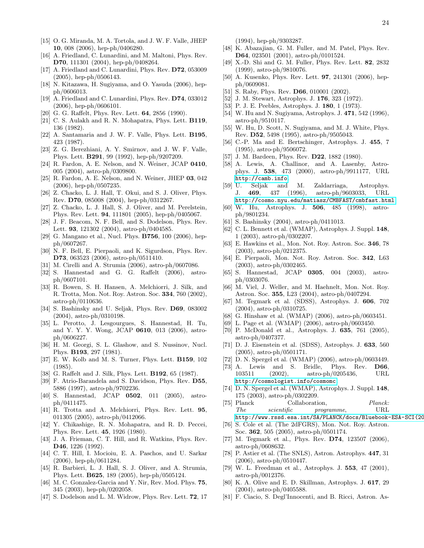- <span id="page-23-0"></span>[15] O. G. Miranda, M. A. Tortola, and J. W. F. Valle, JHEP 10, 008 (2006), hep-ph/0406280.
- <span id="page-23-1"></span>[16] A. Friedland, C. Lunardini, and M. Maltoni, Phys. Rev. D70, 111301 (2004), hep-ph/0408264.
- <span id="page-23-2"></span>[17] A. Friedland and C. Lunardini, Phys. Rev. **D72**, 053009 (2005), hep-ph/0506143.
- <span id="page-23-3"></span>[18] N. Kitazawa, H. Sugiyama, and O. Yasuda (2006), hepph/0606013.
- <span id="page-23-4"></span>[19] A. Friedland and C. Lunardini, Phys. Rev. D74, 033012 (2006), hep-ph/0606101.
- <span id="page-23-5"></span>[20] G. G. Raffelt, Phys. Rev. Lett. **64**, 2856 (1990).
- <span id="page-23-6"></span>[21] C. S. Aulakh and R. N. Mohapatra, Phys. Lett. **B119**, 136 (1982).
- <span id="page-23-7"></span>[22] A. Santamaria and J. W. F. Valle, Phys. Lett. B195, 423 (1987).
- <span id="page-23-8"></span>[23] Z. G. Berezhiani, A. Y. Smirnov, and J. W. F. Valle, Phys. Lett. B291, 99 (1992), hep-ph/9207209.
- <span id="page-23-9"></span>[24] R. Fardon, A. E. Nelson, and N. Weiner, JCAP 0410, 005 (2004), astro-ph/0309800.
- <span id="page-23-10"></span>[25] R. Fardon, A. E. Nelson, and N. Weiner, JHEP 03, 042 (2006), hep-ph/0507235.
- <span id="page-23-11"></span>[26] Z. Chacko, L. J. Hall, T. Okui, and S. J. Oliver, Phys. Rev. D70, 085008 (2004), hep-ph/0312267.
- <span id="page-23-12"></span>[27] Z. Chacko, L. J. Hall, S. J. Oliver, and M. Perelstein, Phys. Rev. Lett. 94, 111801 (2005), hep-ph/0405067.
- <span id="page-23-13"></span>[28] J. F. Beacom, N. F. Bell, and S. Dodelson, Phys. Rev. Lett. 93, 121302 (2004), astro-ph/0404585.
- <span id="page-23-14"></span>[29] G. Mangano et al., Nucl. Phys. **B756**, 100 (2006), hepph/0607267.
- <span id="page-23-15"></span>[30] N. F. Bell, E. Pierpaoli, and K. Sigurdson, Phys. Rev. D73, 063523 (2006), astro-ph/0511410.
- <span id="page-23-16"></span>[31] M. Cirelli and A. Strumia (2006), astro-ph/0607086.
- <span id="page-23-17"></span>[32] S. Hannestad and G. G. Raffelt (2006), astroph/0607101.
- <span id="page-23-18"></span>[33] R. Bowen, S. H. Hansen, A. Melchiorri, J. Silk, and R. Trotta, Mon. Not. Roy. Astron. Soc. 334, 760 (2002), astro-ph/0110636.
- <span id="page-23-19"></span>[34] S. Bashinsky and U. Seljak, Phys. Rev. D69, 083002 (2004), astro-ph/0310198.
- <span id="page-23-20"></span>[35] L. Perotto, J. Lesgourgues, S. Hannestad, H. Tu, and Y. Y. Y. Wong, JCAP 0610, 013 (2006), astroph/0606227.
- <span id="page-23-21"></span>[36] H. M. Georgi, S. L. Glashow, and S. Nussinov, Nucl. Phys. B193, 297 (1981).
- <span id="page-23-22"></span>[37] E. W. Kolb and M. S. Turner, Phys. Lett. B159, 102 (1985).
- <span id="page-23-23"></span>[38] G. Raffelt and J. Silk, Phys. Lett. **B192**, 65 (1987).
- <span id="page-23-24"></span>[39] F. Atrio-Barandela and S. Davidson, Phys. Rev. D55, 5886 (1997), astro-ph/9702236.
- <span id="page-23-25"></span>[40] S. Hannestad, JCAP 0502, 011 (2005), astroph/0411475.
- <span id="page-23-26"></span>[41] R. Trotta and A. Melchiorri, Phys. Rev. Lett. 95, 011305 (2005), astro-ph/0412066.
- <span id="page-23-27"></span>[42] Y. Chikashige, R. N. Mohapatra, and R. D. Peccei, Phys. Rev. Lett. 45, 1926 (1980).
- <span id="page-23-28"></span>[43] J. A. Frieman, C. T. Hill, and R. Watkins, Phys. Rev. D46, 1226 (1992).
- <span id="page-23-29"></span>[44] C. T. Hill, I. Mocioiu, E. A. Paschos, and U. Sarkar (2006), hep-ph/0611284.
- <span id="page-23-30"></span>[45] R. Barbieri, L. J. Hall, S. J. Oliver, and A. Strumia, Phys. Lett. B625, 189 (2005), hep-ph/0505124.
- <span id="page-23-31"></span>[46] M. C. Gonzalez-Garcia and Y. Nir, Rev. Mod. Phys. 75, 345 (2003), hep-ph/0202058.
- <span id="page-23-32"></span>[47] S. Dodelson and L. M. Widrow, Phys. Rev. Lett. **72**, 17

(1994), hep-ph/9303287.

- <span id="page-23-33"></span>[48] K. Abazajian, G. M. Fuller, and M. Patel, Phys. Rev. D64, 023501 (2001), astro-ph/0101524.
- <span id="page-23-34"></span>[49] X.-D. Shi and G. M. Fuller, Phys. Rev. Lett. 82, 2832 (1999), astro-ph/9810076.
- <span id="page-23-35"></span>[50] A. Kusenko, Phys. Rev. Lett. 97, 241301 (2006), hepph/0609081.
- <span id="page-23-36"></span>[51] S. Raby, Phys. Rev. **D66**, 010001 (2002).
- <span id="page-23-37"></span>[52] J. M. Stewart, Astrophys. J. 176, 323 (1972).
- <span id="page-23-38"></span>[53] P. J. E. Peebles, Astrophys. J. 180, 1 (1973).
- <span id="page-23-39"></span>[54] W. Hu and N. Sugiyama, Astrophys. J. 471, 542 (1996), astro-ph/9510117.
- <span id="page-23-40"></span>[55] W. Hu, D. Scott, N. Sugiyama, and M. J. White, Phys. Rev. D52, 5498 (1995), astro-ph/9505043.
- <span id="page-23-41"></span>[56] C.-P. Ma and E. Bertschinger, Astrophys. J. 455, 7 (1995), astro-ph/9506072.
- <span id="page-23-42"></span>[57] J. M. Bardeen, Phys. Rev. **D22**, 1882 (1980).
- <span id="page-23-43"></span>[58] A. Lewis, A. Challinor, and A. Lasenby, Astrophys. J. 538, 473 (2000), astro-ph/9911177, URL <http://camb.info>.
- <span id="page-23-44"></span>[59] U. Seljak and M. Zaldarriaga, Astrophys. J. 469, 437 (1996), astro-ph/9603033, URL <http://cosmo.nyu.edu/matiasz/CMBFAST/cmbfast.html>.
- <span id="page-23-45"></span>[60] W. Hu, Astrophys. J. 506, 485 (1998), astroph/9801234.
- <span id="page-23-46"></span>[61] S. Bashinsky (2004), astro-ph/0411013.
- <span id="page-23-47"></span>[62] C. L. Bennett et al. (WMAP), Astrophys. J. Suppl. 148, 1 (2003), astro-ph/0302207.
- <span id="page-23-48"></span>[63] E. Hawkins et al., Mon. Not. Roy. Astron. Soc. 346, 78 (2003), astro-ph/0212375.
- <span id="page-23-49"></span>[64] E. Pierpaoli, Mon. Not. Roy. Astron. Soc. 342, L63 (2003), astro-ph/0302465.
- <span id="page-23-50"></span>[65] S. Hannestad, JCAP 0305, 004 (2003), astroph/0303076.
- <span id="page-23-51"></span>[66] M. Viel, J. Weller, and M. Haehnelt, Mon. Not. Roy. Astron. Soc. 355, L23 (2004), astro-ph/0407294.
- <span id="page-23-52"></span>[67] M. Tegmark et al. (SDSS), Astrophys. J. 606, 702 (2004), astro-ph/0310725.
- <span id="page-23-53"></span>[68] G. Hinshaw et al. (WMAP) (2006), astro-ph/0603451.
- <span id="page-23-54"></span>[69] L. Page et al. (WMAP) (2006), astro-ph/0603450.
- <span id="page-23-55"></span>[70] P. McDonald et al., Astrophys. J. 635, 761 (2005), astro-ph/0407377.
- <span id="page-23-56"></span>[71] D. J. Eisenstein et al. (SDSS), Astrophys. J. 633, 560 (2005), astro-ph/0501171.
- <span id="page-23-57"></span>[72] D. N. Spergel et al. (WMAP) (2006), astro-ph/0603449.
- <span id="page-23-58"></span>[73] A. Lewis and S. Bridle, Phys. Rev. D66, 103511 (2002), astro-ph/0205436, URL <http://cosmologist.info/cosmomc>.
- <span id="page-23-59"></span>[74] D. N. Spergel et al. (WMAP), Astrophys. J. Suppl. 148, 175 (2003), astro-ph/0302209.
- <span id="page-23-60"></span>[75] Planck Collaboration, *Planck: The scientific programme*, URL http://www.rssd.esa.int/SA/PLANCK/docs/Bluebook-ESA-SCI(20
- <span id="page-23-61"></span>[76] S. Cole et al. (The 2dFGRS), Mon. Not. Roy. Astron. Soc. 362, 505 (2005), astro-ph/0501174.
- <span id="page-23-62"></span>[77] M. Tegmark et al., Phys. Rev. D74, 123507 (2006), astro-ph/0608632.
- <span id="page-23-63"></span>[78] P. Astier et al. (The SNLS), Astron. Astrophys. 447, 31 (2006), astro-ph/0510447.
- <span id="page-23-64"></span>[79] W. L. Freedman et al., Astrophys. J. 553, 47 (2001), astro-ph/0012376.
- <span id="page-23-65"></span>[80] K. A. Olive and E. D. Skillman, Astrophys. J. 617, 29 (2004), astro-ph/0405588.
- <span id="page-23-66"></span>[81] F. Ciacio, S. Degl'Innocenti, and B. Ricci, Astron. As-